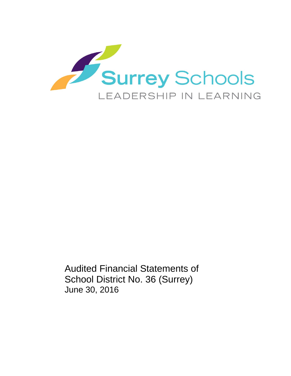

Audited Financial Statements of School District No. 36 (Surrey) June 30, 2016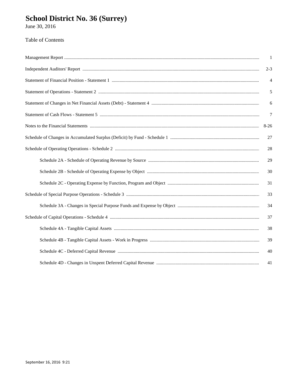# School District No. 36 (Surrey)<br>June 30, 2016

### Table of Contents

| $\overline{1}$ |
|----------------|
| $2 - 3$        |
| $\overline{4}$ |
| 5              |
| 6              |
| $\tau$         |
| $8-26$         |
| 27             |
| 28             |
| 29             |
| 30             |
| 31             |
| 33             |
| 34             |
| 37             |
| 38             |
| 39             |
| 40             |
| 41             |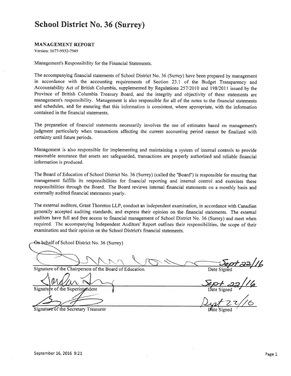#### **MANAGEMENT REPORT**

Version: 1677-9932-7949

Management's Responsibility for the Financial Statements.

The accompanying financial statements of School District No. 36 (Surrey) have been prepared by management in accordance with the accounting requirements of Section 23.1 of the Budget Transparency and Accountability Act of British Columbia, supplemented by Regulations 257/2010 and 198/2011 issued by the Province of British Columbia Treasury Board, and the integrity and objectivity of these statements are management's responsibility. Management is also responsible for all of the notes to the financial statements and schedules, and for ensuring that this information is consistent, where appropriate, with the information contained in the financial statements.

The preparation of financial statements necessarily involves the use of estimates based on management's judgment particularly when transactions affecting the current accounting period cannot be finalized with certainty until future periods.

Management is also responsible for implementing and maintaining a system of internal controls to provide reasonable assurance that assets are safeguarded, transactions are properly authorized and reliable financial information is produced.

The Board of Education of School District No. 36 (Surrey) (called the "Board") is responsible for ensuring that management fulfills its responsibilities for financial reporting and internal control and exercises these responsibilities through the Board. The Board reviews internal financial statements on a monthly basis and externally audited financial statements yearly.

The external auditors, Grant Thornton LLP, conduct an independent examination, in accordance with Canadian generally accepted auditing standards, and express their opinion on the financial statements. The external auditors have full and free access to financial management of School District No. 36 (Surrey) and meet when required. The accompanying Independent Auditors' Report outlines their responsibilities, the scope of their examination and their opinion on the School District's financial statements.

On-behalf of School District No. 36 (Surrey)

Signature of the Chairperson of the Board of Education

Signatu e of the Superintendent

Signature of the Secretary Treasurer

 $\frac{1}{\frac{1}{\sqrt{1+\frac{1}{1+\frac{1}{1+\frac{1}{1+\frac{1}{1+\frac{1}{1+\frac{1}{1+\frac{1}{1+\frac{1}{1+\frac{1}{1+\frac{1}{1+\frac{1}{1+\frac{1}{1+\frac{1}{1+\frac{1}{1+\frac{1}{1+\frac{1}{1+\frac{1}{1+\frac{1}{1+\frac{1}{1+\frac{1}{1+\frac{1}{1+\frac{1}{1+\frac{1}{1+\frac{1}{1+\frac{1}{1+\frac{1}{1+\frac{1}{1+\frac{1}{1+\frac{1}{1+\frac{1}{1+\frac{1}{1+\frac{1}{1+\frac{1}{1+\frac{1}{1+\frac$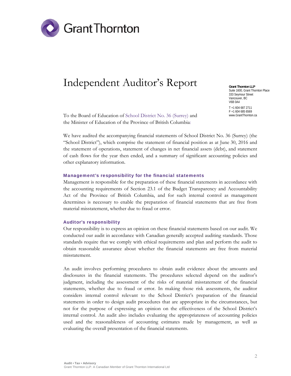

## Independent Auditor's Report

To the Board of Education of School District No. 36 (Surrey) and the Minister of Education of the Province of British Columbia:

**Grant Thornton LLP**  Suite 1600, Grant Thornton Place 333 Seymour Street Vancouver, BC V6B 0A4 T +1 604 687 2711 F +1 604 685 6569 www.GrantThornton.ca

We have audited the accompanying financial statements of School District No. 36 (Surrey) (the "School District"), which comprise the statement of financial position as at June 30, 2016 and the statement of operations, statement of changes in net financial assets (debt), and statement of cash flows for the year then ended, and a summary of significant accounting policies and other explanatory information.

#### Management's responsibility for the financial statements

Management is responsible for the preparation of these financial statements in accordance with the accounting requirements of Section 23.1 of the Budget Transparency and Accountability Act of the Province of British Columbia, and for such internal control as management determines is necessary to enable the preparation of financial statements that are free from material misstatement, whether due to fraud or error.

#### Auditor's responsibility

Our responsibility is to express an opinion on these financial statements based on our audit. We conducted our audit in accordance with Canadian generally accepted auditing standards. Those standards require that we comply with ethical requirements and plan and perform the audit to obtain reasonable assurance about whether the financial statements are free from material misstatement.

An audit involves performing procedures to obtain audit evidence about the amounts and disclosures in the financial statements. The procedures selected depend on the auditor's judgment, including the assessment of the risks of material misstatement of the financial statements, whether due to fraud or error. In making those risk assessments, the auditor considers internal control relevant to the School District's preparation of the financial statements in order to design audit procedures that are appropriate in the circumstances, but not for the purpose of expressing an opinion on the effectiveness of the School District's internal control. An audit also includes evaluating the appropriateness of accounting policies used and the reasonableness of accounting estimates made by management, as well as evaluating the overall presentation of the financial statements.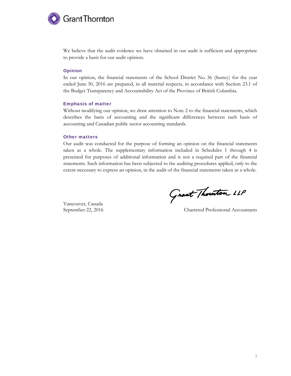

We believe that the audit evidence we have obtained in our audit is sufficient and appropriate to provide a basis for our audit opinion.

#### Opinion

In our opinion, the financial statements of the School District No. 36 (Surrey) for the year ended June 30, 2016 are prepared, in all material respects, in accordance with Section 23.1 of the Budget Transparency and Accountability Act of the Province of British Columbia.

#### Emphasis of matter

Without modifying our opinion, we draw attention to Note 2 to the financial statements, which describes the basis of accounting and the significant differences between such basis of accounting and Canadian public sector accounting standards.

#### Other matters

Our audit was conducted for the purpose of forming an opinion on the financial statements taken as a whole. The supplementary information included in Schedules 1 through 4 is presented for purposes of additional information and is not a required part of the financial statements. Such information has been subjected to the auditing procedures applied, only to the extent necessary to express an opinion, in the audit of the financial statements taken as a whole.

Vancouver, Canada

Grant Thouton LLP

September 22, 2016 Chartered Professional Accountants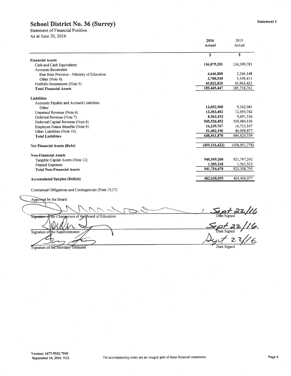**Statement of Financial Position** As at June 30, 2016

| $A$ 3 at Julie Julie 2010                 | 2016<br>Actual  | 2015<br>Actual  |
|-------------------------------------------|-----------------|-----------------|
|                                           | \$              | \$              |
| <b>Financial Assets</b>                   |                 |                 |
| Cash and Cash Equivalents                 | 136,075,201     | 136,399,781     |
| <b>Accounts Receivable</b>                |                 |                 |
| Due from Province - Ministry of Education | 4,646,888       | 2,246,148       |
| Other (Note 4)                            | 3,700,538       | 3,109,411       |
| Portfolio Investments (Note 5)            | 45,022,820      | 43,963,421      |
| <b>Total Financial Assets</b>             | 189,445,447     | 185,718,761     |
| Liabilities                               |                 |                 |
| Accounts Payable and Accrued Liabilities  |                 |                 |
| Other                                     | 13,052,900      | 9,162,081       |
| Unearned Revenue (Note 6)                 | 13,383,402      | 12,450,742      |
| Deferred Revenue (Note 7)                 | 8,963,153       | 9,691,516       |
| Deferred Capital Revenue (Note 8)         | 545,520,452     | 550,484,156     |
| Employee Future Benefits (Note 9)         | 16,239,767      | 16,733,167      |
| Other Liabilities (Note 10)               | 51,402,196      | 46,098,877      |
| <b>Total Liabilities</b>                  | 648,561,870     | 644,620,539     |
| <b>Net Financial Assets (Debt)</b>        | (459, 116, 423) | (458, 901, 778) |
| <b>Non-Financial Assets</b>               |                 |                 |
| Tangible Capital Assets (Note 12)         | 940,549,260     | 921,747,242     |
| Prepaid Expenses                          | 1,205,218       | 1,561,513       |
| <b>Total Non-Financial Assets</b>         | 941,754,478     | 923,308,755     |
| <b>Accumulated Surplus (Deficit)</b>      | 482,638,055     | 464,406,977     |

 $\frac{56pt^{22}/16}{p_{\text{late Signed}}}$ <br>Sept 22/16.<br>Dyt 27/16 Signature of the Chaignerson of the Board of Education Signature of the Superintendent Date Signed Signature of the Secretary Treasurer

Approved by the Board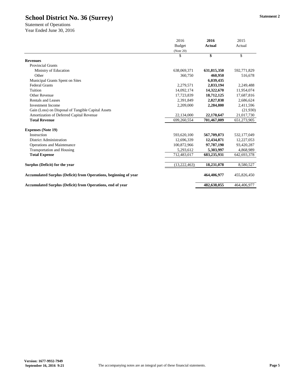|                                                                         | 2016          | 2016          | 2015        |
|-------------------------------------------------------------------------|---------------|---------------|-------------|
|                                                                         | <b>Budget</b> | <b>Actual</b> | Actual      |
|                                                                         | (Note 20)     |               |             |
|                                                                         | \$            | \$            | \$          |
| <b>Revenues</b>                                                         |               |               |             |
| <b>Provincial Grants</b>                                                |               |               |             |
| Ministry of Education                                                   | 638,069,371   | 631,815,350   | 592,771,829 |
| Other                                                                   | 360,750       | 460,950       | 516,678     |
| Municipal Grants Spent on Sites                                         |               | 6,039,435     |             |
| <b>Federal Grants</b>                                                   | 2,279,571     | 2,833,194     | 2,249,488   |
| Tuition                                                                 | 14,092,174    | 14,322,670    | 11,954,074  |
| <b>Other Revenue</b>                                                    | 17,723,839    | 18,712,125    | 17,687,816  |
| <b>Rentals and Leases</b>                                               | 2,391,849     | 2,827,838     | 2,686,624   |
| <b>Investment Income</b>                                                | 2,209,000     | 2,284,800     | 2,411,596   |
| Gain (Loss) on Disposal of Tangible Capital Assets                      |               |               | (21,930)    |
| Amortization of Deferred Capital Revenue                                | 22,134,000    | 22,170,647    | 21,017,730  |
| <b>Total Revenue</b>                                                    | 699,260,554   | 701,467,009   | 651,273,905 |
| <b>Expenses (Note 19)</b>                                               |               |               |             |
| Instruction                                                             | 593,620,100   | 567,709,873   | 532,177,049 |
| <b>District Administration</b>                                          | 12,696,339    | 12,434,871    | 12,227,053  |
| <b>Operations and Maintenance</b>                                       | 100,872,966   | 97,787,190    | 93,420,287  |
| <b>Transportation and Housing</b>                                       | 5,293,612     | 5,303,997     | 4,868,989   |
| <b>Total Expense</b>                                                    | 712,483,017   | 683,235,931   | 642,693,378 |
| Surplus (Deficit) for the year                                          | (13,222,463)  | 18,231,078    | 8,580,527   |
|                                                                         |               |               |             |
| <b>Accumulated Surplus (Deficit) from Operations, beginning of year</b> |               | 464,406,977   | 455,826,450 |
| <b>Accumulated Surplus (Deficit) from Operations, end of year</b>       |               | 482,638,055   | 464,406,977 |

Statement of Operations Year Ended June 30, 2016

**Version: 1677-9932-7949**

**September 16, 2016 9:21 Page 5 Page 16, 2016 9:21 Page 5 Page 16 Page 5 Page 16 Page 5 Page 5 Page 16 Page 5 Page 16 Page 5 Page 16 Page 5 Page 16 Page 16 Page 16 Page 16 Page 16 Pa** 

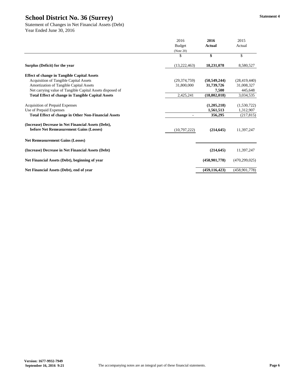|                                                                                                | 2016           | 2016              | 2015            |
|------------------------------------------------------------------------------------------------|----------------|-------------------|-----------------|
|                                                                                                | <b>Budget</b>  | <b>Actual</b>     | Actual          |
|                                                                                                | (Note 20)      |                   |                 |
|                                                                                                | \$             | $\boldsymbol{\$}$ | $\mathcal{S}$   |
| Surplus (Deficit) for the year                                                                 | (13,222,463)   | 18,231,078        | 8,580,527       |
| <b>Effect of change in Tangible Capital Assets</b>                                             |                |                   |                 |
| <b>Acquisition of Tangible Capital Assets</b>                                                  | (29, 374, 759) | (50, 549, 244)    | (28, 419, 440)  |
| <b>Amortization of Tangible Capital Assets</b>                                                 | 31,800,000     | 31,739,726        | 31,008,327      |
| Net carrying value of Tangible Capital Assets disposed of                                      |                | 7,500             | 445,648         |
| <b>Total Effect of change in Tangible Capital Assets</b>                                       | 2,425,241      | (18, 802, 018)    | 3,034,535       |
| <b>Acquisition of Prepaid Expenses</b>                                                         |                | (1,205,218)       | (1,530,722)     |
| Use of Prepaid Expenses                                                                        |                | 1,561,513         | 1,312,907       |
| <b>Total Effect of change in Other Non-Financial Assets</b>                                    |                | 356,295           | (217, 815)      |
| (Increase) Decrease in Net Financial Assets (Debt),<br>before Net Remeasurement Gains (Losses) | (10,797,222)   | (214, 645)        | 11,397,247      |
| <b>Net Remeasurement Gains (Losses)</b>                                                        |                |                   |                 |
| (Increase) Decrease in Net Financial Assets (Debt)                                             |                | (214, 645)        | 11,397,247      |
| Net Financial Assets (Debt), beginning of year                                                 |                | (458,901,778)     | (470, 299, 025) |
| Net Financial Assets (Debt), end of year                                                       |                | (459, 116, 423)   | (458,901,778)   |

Statement of Changes in Net Financial Assets (Debt) Year Ended June 30, 2016

**Version: 1677-9932-7949**

**September 16, 2016 9:21 Page 6 Page 16, 2016 9:21 Page 6 Page 16 Page 6 Page 16 Page 6 Page 16 Page 6 Page 16 Page 16 Page 16 Page 16 Page 16 Page 16 Page 16 Page 16 Page 16 Page 16**

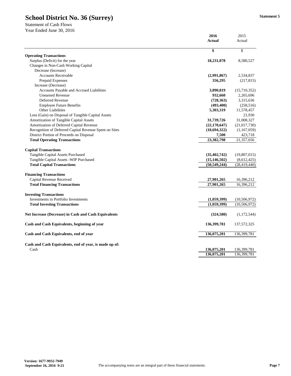|                                                             | 2016           | 2015                      |
|-------------------------------------------------------------|----------------|---------------------------|
|                                                             | <b>Actual</b>  | Actual                    |
|                                                             | \$             | $\boldsymbol{\mathsf{S}}$ |
| <b>Operating Transactions</b>                               |                |                           |
| Surplus (Deficit) for the year                              | 18,231,078     | 8,580,527                 |
| Changes in Non-Cash Working Capital                         |                |                           |
| Decrease (Increase)                                         |                |                           |
| <b>Accounts Receivable</b>                                  | (2,991,867)    | 2,534,837                 |
| Prepaid Expenses                                            | 356,295        | (217, 815)                |
| Increase (Decrease)                                         |                |                           |
| <b>Accounts Payable and Accrued Liabilities</b>             | 3,890,819      | (15,710,352)              |
| <b>Unearned Revenue</b>                                     | 932,660        | 2,265,696                 |
| Deferred Revenue                                            | (728, 363)     | 3,315,636                 |
| <b>Employee Future Benefits</b>                             | (493, 400)     | (258, 516)                |
| <b>Other Liabilities</b>                                    | 5,303,319      | 11,578,457                |
| Loss (Gain) on Disposal of Tangible Capital Assets          |                | 21,930                    |
| <b>Amortization of Tangible Capital Assets</b>              | 31,739,726     | 31,008,327                |
| Amortization of Deferred Capital Revenue                    | (22, 170, 647) | (21,017,730)              |
| Recognition of Deferred Capital Revenue Spent on Sites      | (10,694,322)   | (1,167,059)               |
| District Portion of Proceeds on Disposal                    | 7,500          | 423,718                   |
| <b>Total Operating Transactions</b>                         | 23,382,798     | 21,357,656                |
| <b>Capital Transactions</b>                                 |                |                           |
| <b>Tangible Capital Assets Purchased</b>                    | (35, 402, 742) | (19,807,015)              |
| Tangible Capital Assets - WIP Purchased                     | (15, 146, 502) | (8,612,425)               |
| <b>Total Capital Transactions</b>                           | (50, 549, 244) | (28, 419, 440)            |
| <b>Financing Transactions</b>                               |                |                           |
| Capital Revenue Received                                    | 27,901,265     | 16,396,212                |
| <b>Total Financing Transactions</b>                         | 27,901,265     | 16,396,212                |
|                                                             |                |                           |
| <b>Investing Transactions</b>                               |                |                           |
| <b>Investments in Portfolio Investments</b>                 | (1,059,399)    | (10, 506, 972)            |
| <b>Total Investing Transactions</b>                         | (1,059,399)    | (10,506,972)              |
| <b>Net Increase (Decrease) in Cash and Cash Equivalents</b> | (324,580)      | (1,172,544)               |
| Cash and Cash Equivalents, beginning of year                | 136,399,781    | 137, 572, 325             |
| Cash and Cash Equivalents, end of year                      | 136,075,201    | 136,399,781               |
| Cash and Cash Equivalents, end of year, is made up of:      |                |                           |
| Cash                                                        | 136,075,201    | 136,399,781               |
|                                                             | 136,075,201    | 136,399,781               |

Statement of Cash Flows Year Ended June 30, 2016

**Version: 1677-9932-7949**

**September 16, 2016 9:21 Page 7 Page 7 Page 7 Page 7 Page 7 Page 7 Page 7 Page 7 Page 7 Page 7 Page 7 Page 7 Page 7 Page 7 Page 7 Page 7 Page 7 Page 7 Page 7 Page 7 Page 7 Page 7** 

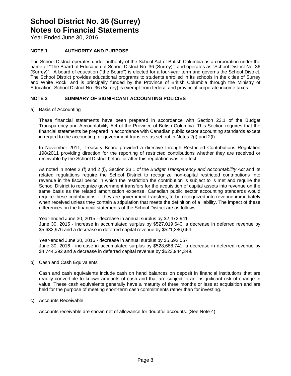Year Ended June 30, 2016

#### **NOTE 1 AUTHORITY AND PURPOSE**

The School District operates under authority of the School Act of British Columbia as a corporation under the name of "The Board of Education of School District No. 36 (Surrey)", and operates as "School District No. 36 (Surrey)". A board of education ("the Board") is elected for a four-year term and governs the School District. The School District provides educational programs to students enrolled in its schools in the cities of Surrey and White Rock, and is principally funded by the Province of British Columbia through the Ministry of Education. School District No. 36 (Surrey) is exempt from federal and provincial corporate income taxes.

#### **NOTE 2 SUMMARY OF SIGNIFICANT ACCOUNTING POLICIES**

a) Basis of Accounting

These financial statements have been prepared in accordance with Section 23.1 of the Budget Transparency and Accountability Act of the Province of British Columbia. This Section requires that the financial statements be prepared in accordance with Canadian public sector accounting standards except in regard to the accounting for government transfers as set out in Notes 2(f) and 2(l).

In November 2011, Treasury Board provided a directive through Restricted Contributions Regulation 198/2011 providing direction for the reporting of restricted contributions whether they are received or receivable by the School District before or after this regulation was in effect.

As noted in notes 2 (f) and 2 (l), Section 23.1 of the *Budget Transparency and Accountability Act* and its related regulations require the School District to recognize non-capital restricted contributions into revenue in the fiscal period in which the restriction the contribution is subject to is met and require the School District to recognize government transfers for the acquisition of capital assets into revenue on the same basis as the related amortization expense. Canadian public sector accounting standards would require these contributions, if they are government transfers, to be recognized into revenue immediately when received unless they contain a stipulation that meets the definition of a liability. The impact of these differences on the financial statements of the School District are as follows:

Year-ended June 30, 2015 - decrease in annual surplus by \$2,472,941 June 30, 2015 - increase in accumulated surplus by \$527,019,640, a decrease in deferred revenue by \$5,632,976 and a decrease in deferred capital revenue by \$521,386,664.

Year-ended June 30, 2016 - decrease in annual surplus by \$5,692,067 June 30, 2016 - increase in accumulated surplus by \$528,688,741, a decrease in deferred revenue by \$4,744,392 and a decrease in deferred capital revenue by \$523,944,349.

b) Cash and Cash Equivalents

Cash and cash equivalents include cash on hand balances on deposit in financial institutions that are readily convertible to known amounts of cash and that are subject to an insignificant risk of change in value. These cash equivalents generally have a maturity of three months or less at acquisition and are held for the purpose of meeting short-term cash commitments rather than for investing.

c) Accounts Receivable

Accounts receivable are shown net of allowance for doubtful accounts. (See Note 4)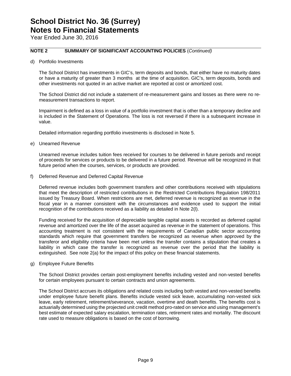Year Ended June 30, 2016

#### **NOTE 2 SUMMARY OF SIGNIFICANT ACCOUNTING POLICIES** (*Continued)*

d) Portfolio Investments

The School District has investments in GIC's, term deposits and bonds, that either have no maturity dates or have a maturity of greater than 3 months at the time of acquisition. GIC's, term deposits, bonds and other investments not quoted in an active market are reported at cost or amortized cost.

The School District did not include a statement of re-measurement gains and losses as there were no remeasurement transactions to report.

Impairment is defined as a loss in value of a portfolio investment that is other than a temporary decline and is included in the Statement of Operations. The loss is not reversed if there is a subsequent increase in value.

Detailed information regarding portfolio investments is disclosed in Note 5.

e) Unearned Revenue

Unearned revenue includes tuition fees received for courses to be delivered in future periods and receipt of proceeds for services or products to be delivered in a future period. Revenue will be recognized in that future period when the courses, services, or products are provided.

f) Deferred Revenue and Deferred Capital Revenue

Deferred revenue includes both government transfers and other contributions received with stipulations that meet the description of restricted contributions in the Restricted Contributions Regulation 198/2011 issued by Treasury Board. When restrictions are met, deferred revenue is recognized as revenue in the fiscal year in a manner consistent with the circumstances and evidence used to support the initial recognition of the contributions received as a liability as detailed in Note 2(l).

Funding received for the acquisition of depreciable tangible capital assets is recorded as deferred capital revenue and amortized over the life of the asset acquired as revenue in the statement of operations. This accounting treatment is not consistent with the requirements of Canadian public sector accounting standards which require that government transfers be recognized as revenue when approved by the transferor and eligibility criteria have been met unless the transfer contains a stipulation that creates a liability in which case the transfer is recognized as revenue over the period that the liability is extinguished. See note 2(a) for the impact of this policy on these financial statements.

g) Employee Future Benefits

The School District provides certain post-employment benefits including vested and non-vested benefits for certain employees pursuant to certain contracts and union agreements.

The School District accrues its obligations and related costs including both vested and non-vested benefits under employee future benefit plans. Benefits include vested sick leave, accumulating non-vested sick leave, early retirement, retirement/severance, vacation, overtime and death benefits. The benefits cost is actuarially determined using the projected unit credit method pro-rated on service and using management's best estimate of expected salary escalation, termination rates, retirement rates and mortality. The discount rate used to measure obligations is based on the cost of borrowing.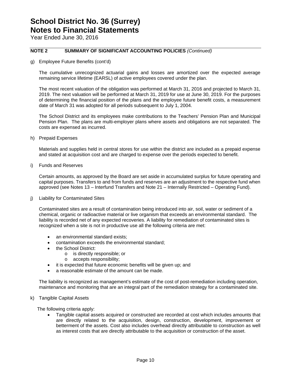Year Ended June 30, 2016

#### **NOTE 2 SUMMARY OF SIGNIFICANT ACCOUNTING POLICIES** *(Continued)*

g) Employee Future Benefits (cont'd)

The cumulative unrecognized actuarial gains and losses are amortized over the expected average remaining service lifetime (EARSL) of active employees covered under the plan.

The most recent valuation of the obligation was performed at March 31, 2016 and projected to March 31, 2019. The next valuation will be performed at March 31, 2019 for use at June 30, 2019. For the purposes of determining the financial position of the plans and the employee future benefit costs, a measurement date of March 31 was adopted for all periods subsequent to July 1, 2004.

The School District and its employees make contributions to the Teachers' Pension Plan and Municipal Pension Plan. The plans are multi-employer plans where assets and obligations are not separated. The costs are expensed as incurred.

h) Prepaid Expenses

Materials and supplies held in central stores for use within the district are included as a prepaid expense and stated at acquisition cost and are charged to expense over the periods expected to benefit.

i) Funds and Reserves

Certain amounts, as approved by the Board are set aside in accumulated surplus for future operating and capital purposes. Transfers to and from funds and reserves are an adjustment to the respective fund when approved (see Notes 13 – Interfund Transfers and Note 21 – Internally Restricted – Operating Fund).

j) Liability for Contaminated Sites

Contaminated sites are a result of contamination being introduced into air, soil, water or sediment of a chemical, organic or radioactive material or live organism that exceeds an environmental standard. The liability is recorded net of any expected recoveries. A liability for remediation of contaminated sites is recognized when a site is not in productive use all the following criteria are met:

- an environmental standard exists;
- contamination exceeds the environmental standard;
- the School District:
	- o is directly responsible; or
	- o accepts responsibility;
	- it is expected that future economic benefits will be given up; and
- a reasonable estimate of the amount can be made.

 The liability is recognized as management's estimate of the cost of post-remediation including operation, maintenance and monitoring that are an integral part of the remediation strategy for a contaminated site.

k) Tangible Capital Assets

The following criteria apply:

 Tangible capital assets acquired or constructed are recorded at cost which includes amounts that are directly related to the acquisition, design, construction, development, improvement or betterment of the assets. Cost also includes overhead directly attributable to construction as well as interest costs that are directly attributable to the acquisition or construction of the asset.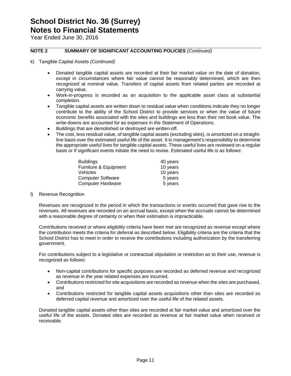Year Ended June 30, 2016

#### **NOTE 2 SUMMARY OF SIGNIFICANT ACCOUNTING POLICIES** *(Continued)*

- k) Tangible Capital Assets *(Continued)*
	- Donated tangible capital assets are recorded at their fair market value on the date of donation, except in circumstances where fair value cannot be reasonably determined, which are then recognized at nominal value. Transfers of capital assets from related parties are recorded at carrying value.
	- Work-in-progress is recorded as an acquisition to the applicable asset class at substantial completion.
	- Tangible capital assets are written down to residual value when conditions indicate they no longer contribute to the ability of the School District to provide services or when the value of future economic benefits associated with the sites and buildings are less than their net book value. The write-downs are accounted for as expenses in the Statement of Operations.
	- Buildings that are demolished or destroyed are written-off.
	- The cost, less residual value, of tangible capital assets (excluding sites), is amortized on a straightline basis over the estimated useful life of the asset. It is management's responsibility to determine the appropriate useful lives for tangible capital assets. These useful lives are reviewed on a regular basis or if significant events initiate the need to revise. Estimated useful life is as follows:

| <b>Buildings</b>         | 40 years |
|--------------------------|----------|
| Furniture & Equipment    | 10 years |
| Vehicles                 | 10 years |
| <b>Computer Software</b> | 5 years  |
| <b>Computer Hardware</b> | 5 years  |

l) Revenue Recognition

Revenues are recognized in the period in which the transactions or events occurred that gave rise to the revenues. All revenues are recorded on an accrual basis, except when the accruals cannot be determined with a reasonable degree of certainty or when their estimation is impracticable.

Contributions received or where eligibility criteria have been met are recognized as revenue except where the contribution meets the criteria for deferral as described below. Eligibility criteria are the criteria that the School District has to meet in order to receive the contributions including authorization by the transferring government.

For contributions subject to a legislative or contractual stipulation or restriction as to their use, revenue is recognized as follows:

- Non-capital contributions for specific purposes are recorded as deferred revenue and recognized as revenue in the year related expenses are incurred,
- Contributions restricted for site acquisitions are recorded as revenue when the sites are purchased, and
- Contributions restricted for tangible capital assets acquisitions other than sites are recorded as deferred capital revenue and amortized over the useful life of the related assets.

Donated tangible capital assets other than sites are recorded at fair market value and amortized over the useful life of the assets. Donated sites are recorded as revenue at fair market value when received or receivable.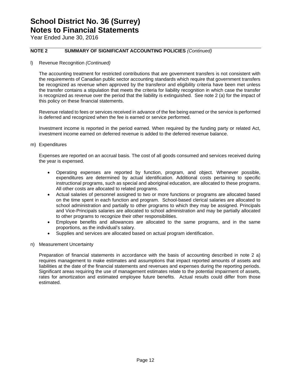Year Ended June 30, 2016

#### **NOTE 2 SUMMARY OF SIGNIFICANT ACCOUNTING POLICIES** *(Continued)*

l) Revenue Recognition *(Continued)*

The accounting treatment for restricted contributions that are government transfers is not consistent with the requirements of Canadian public sector accounting standards which require that government transfers be recognized as revenue when approved by the transferor and eligibility criteria have been met unless the transfer contains a stipulation that meets the criteria for liability recognition in which case the transfer is recognized as revenue over the period that the liability is extinguished. See note 2 (a) for the impact of this policy on these financial statements.

Revenue related to fees or services received in advance of the fee being earned or the service is performed is deferred and recognized when the fee is earned or service performed.

Investment income is reported in the period earned. When required by the funding party or related Act, investment income earned on deferred revenue is added to the deferred revenue balance.

m) Expenditures

Expenses are reported on an accrual basis. The cost of all goods consumed and services received during the year is expensed.

- Operating expenses are reported by function, program, and object. Whenever possible, expenditures are determined by actual identification. Additional costs pertaining to specific instructional programs, such as special and aboriginal education, are allocated to these programs. All other costs are allocated to related programs.
- Actual salaries of personnel assigned to two or more functions or programs are allocated based on the time spent in each function and program. School-based clerical salaries are allocated to school administration and partially to other programs to which they may be assigned. Principals and Vice-Principals salaries are allocated to school administration and may be partially allocated to other programs to recognize their other responsibilities.
- Employee benefits and allowances are allocated to the same programs, and in the same proportions, as the individual's salary.
- Supplies and services are allocated based on actual program identification.
- n) Measurement Uncertainty

Preparation of financial statements in accordance with the basis of accounting described in note 2 a) requires management to make estimates and assumptions that impact reported amounts of assets and liabilities at the date of the financial statements and revenues and expenses during the reporting periods. Significant areas requiring the use of management estimates relate to the potential impairment of assets, rates for amortization and estimated employee future benefits. Actual results could differ from those estimated.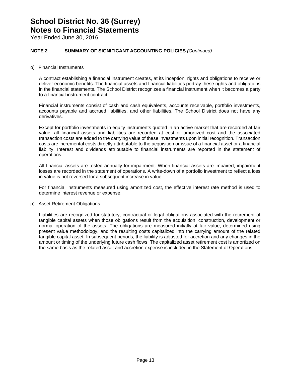Year Ended June 30, 2016

#### **NOTE 2 SUMMARY OF SIGNIFICANT ACCOUNTING POLICIES** *(Continued)*

o) Financial Instruments

A contract establishing a financial instrument creates, at its inception, rights and obligations to receive or deliver economic benefits. The financial assets and financial liabilities portray these rights and obligations in the financial statements. The School District recognizes a financial instrument when it becomes a party to a financial instrument contract.

Financial instruments consist of cash and cash equivalents, accounts receivable, portfolio investments, accounts payable and accrued liabilities, and other liabilities. The School District does not have any derivatives.

Except for portfolio investments in equity instruments quoted in an active market that are recorded at fair value, all financial assets and liabilities are recorded at cost or amortized cost and the associated transaction costs are added to the carrying value of these investments upon initial recognition. Transaction costs are incremental costs directly attributable to the acquisition or issue of a financial asset or a financial liability. Interest and dividends attributable to financial instruments are reported in the statement of operations.

All financial assets are tested annually for impairment. When financial assets are impaired, impairment losses are recorded in the statement of operations. A write-down of a portfolio investment to reflect a loss in value is not reversed for a subsequent increase in value.

For financial instruments measured using amortized cost, the effective interest rate method is used to determine interest revenue or expense.

p) Asset Retirement Obligations

Liabilities are recognized for statutory, contractual or legal obligations associated with the retirement of tangible capital assets when those obligations result from the acquisition, construction, development or normal operation of the assets. The obligations are measured initially at fair value, determined using present value methodology, and the resulting costs capitalized into the carrying amount of the related tangible capital asset. In subsequent periods, the liability is adjusted for accretion and any changes in the amount or timing of the underlying future cash flows. The capitalized asset retirement cost is amortized on the same basis as the related asset and accretion expense is included in the Statement of Operations.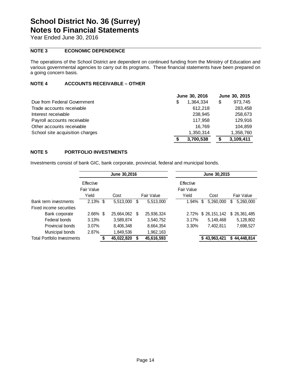Year Ended June 30, 2016

#### **NOTE 3 ECONOMIC DEPENDENCE**

The operations of the School District are dependent on continued funding from the Ministry of Education and various governmental agencies to carry out its programs. These financial statements have been prepared on a going concern basis.

#### **NOTE 4 ACCOUNTS RECEIVABLE – OTHER**

|                                 | June 30, 2016   | June 30, 2015 |
|---------------------------------|-----------------|---------------|
| Due from Federal Government     | 1.364.334<br>\$ | 973,745<br>\$ |
| Trade accounts receivable       | 612.218         | 283,458       |
| Interest receivable             | 238.945         | 258,673       |
| Payroll accounts receivable     | 117.958         | 129,916       |
| Other accounts receivable       | 16.769          | 104.859       |
| School site acquisition charges | 1.350.314       | 1,358,760     |
|                                 | 3,700,538       | 3,109,411     |

#### **NOTE 5 PORTFOLIO INVESTMENTS**

Investments consist of bank GIC, bank corporate, provincial, federal and municipal bonds.

|                                    |                                  | June 30,2016 |    |            |                                  |   | June 30,2015 |                 |
|------------------------------------|----------------------------------|--------------|----|------------|----------------------------------|---|--------------|-----------------|
|                                    | Effective<br>Fair Value<br>Yield | Cost         |    | Fair Value | Effective<br>Fair Value<br>Yield |   | Cost         | Fair Value      |
|                                    |                                  |              |    |            |                                  |   |              |                 |
| Bank term investments              | $2.13\%$ \$                      | 5,513,000    | S  | 5,513,000  | 1.94%                            | S | 5,260,000    | \$<br>5,260,000 |
| Fixed income securities            |                                  |              |    |            |                                  |   |              |                 |
| Bank corporate                     | $2.66\%$ \$                      | 25,664,062   | \$ | 25,936,324 | 2.72%                            |   | \$26,151,142 | \$26,361,485    |
| Federal bonds                      | 3.13%                            | 3,589,874    |    | 3,540,752  | 3.17%                            |   | 5,149,468    | 5,128,802       |
| Provincial bonds                   | $3.07\%$                         | 8,406,348    |    | 8,664,354  | 3.30%                            |   | 7,402,811    | 7,698,527       |
| Municipal bonds                    | 2.87%                            | 1,849,536    |    | 1,962,163  |                                  |   |              |                 |
| <b>Total Portfolio Investments</b> |                                  | 45,022,820   |    | 45,616,593 |                                  |   | \$43,963,421 | \$44,448,814    |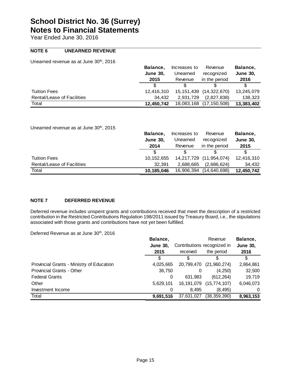Year Ended June 30, 2016

#### **NOTE 6 UNEARNED REVENUE**

Unearned revenue as at June 30<sup>th</sup>, 2016

|                            | Balance.        | Increases to | Revenue                     | Balance,        |
|----------------------------|-----------------|--------------|-----------------------------|-----------------|
|                            | <b>June 30.</b> | Unearned     | recognized                  | <b>June 30.</b> |
|                            | 2015            | Revenue      | in the period               | 2016            |
|                            |                 |              |                             | S               |
| <b>Tuition Fees</b>        | 12.416.310      |              | 15, 151, 439 (14, 322, 670) | 13,245,079      |
| Rental/Lease of Facilities | 34.432          | 2.931.729    | (2.827.838)                 | 138,323         |
| Total                      | 12.450.742      | 18,083,168   | (17, 150, 508)              | 13,383,402      |

Unearned revenue as at June 30<sup>th</sup>, 2015

|                            | Balance.        | Increases to | Revenue        | Balance,        |
|----------------------------|-----------------|--------------|----------------|-----------------|
|                            | <b>June 30.</b> | Unearned     | recognized     | <b>June 30,</b> |
|                            | 2014            | Revenue      | in the period  | 2015            |
|                            |                 |              |                | \$              |
| <b>Tuition Fees</b>        | 10.152.655      | 14,217,729   | (11, 954, 074) | 12,416,310      |
| Rental/Lease of Facilities | 32.391          | 2.688.665    | (2,686,624)    | 34.432          |
| Total                      | 10,185,046      | 16,906,394   | (14,640,698)   | 12,450,742      |

#### **NOTE 7 DEFERRED REVENUE**

Deferred revenue includes unspent grants and contributions received that meet the description of a restricted contribution in the Restricted Contributions Regulation 198/2011 issued by Treasury Board, i.e., the stipulations associated with those grants and contributions have not yet been fulfilled.

Deferred Revenue as at June 30<sup>th</sup>, 2016

|                                           | Balance,        |                             | Revenue        | Balance,        |
|-------------------------------------------|-----------------|-----------------------------|----------------|-----------------|
|                                           | <b>June 30.</b> | Contributions recognized in |                | <b>June 30,</b> |
|                                           | 2015            | received                    | the period     | 2016            |
|                                           |                 |                             |                | \$.             |
| Provincial Grants - Ministry of Education | 4,025,665       | 20,799,470                  | (21,960,274)   | 2,864,861       |
| <b>Provincial Grants - Other</b>          | 36,750          |                             | (4,250)        | 32,500          |
| <b>Federal Grants</b>                     | 0               | 631.983                     | (612, 264)     | 19,719          |
| Other                                     | 5.629.101       | 16,191,079                  | (15, 774, 107) | 6,046,073       |
| Investment Income                         | 0               | 8.495                       | (8, 495)       | 0               |
| Total                                     | 9,691,516       | 37,631,027                  | (38, 359, 390) | 8,963,153       |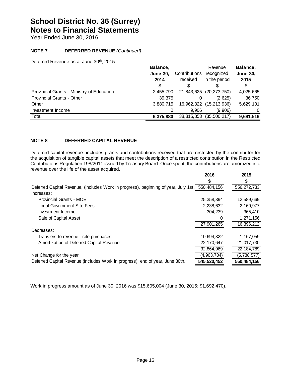Year Ended June 30, 2016

#### **NOTE 7 DEFERRED REVENUE** *(Continued)*

Deferred Revenue as at June 30<sup>th</sup>, 2015

|                                           | Balance,        |               | Revenue                 | Balance,        |
|-------------------------------------------|-----------------|---------------|-------------------------|-----------------|
|                                           | <b>June 30,</b> | Contributions | recognized              | <b>June 30,</b> |
|                                           | 2014            | received      | in the period           | 2015            |
|                                           |                 |               |                         | S               |
| Provincial Grants - Ministry of Education | 2,455,790       |               | 21,843,625 (20,273,750) | 4,025,665       |
| <b>Provincial Grants - Other</b>          | 39.375          |               | (2,625)                 | 36,750          |
| Other                                     | 3,880,715       |               | 16,962,322 (15,213,936) | 5,629,101       |
| Investment Income                         |                 | 9.906         | (9.906)                 | 0               |
| Total                                     | 6.375.880       | 38,815,853    | (35,500,217)            | 9,691,516       |

#### **NOTE 8 DEFERRED CAPITAL REVENUE**

Deferred capital revenue includes grants and contributions received that are restricted by the contributor for the acquisition of tangible capital assets that meet the description of a restricted contribution in the Restricted Contributions Regulation 198/2011 issued by Treasury Board. Once spent, the contributions are amortized into revenue over the life of the asset acquired.

|                                                                                                 | 2016         | 2015        |
|-------------------------------------------------------------------------------------------------|--------------|-------------|
|                                                                                                 | S            |             |
| Deferred Capital Revenue, (includes Work in progress), beginning of year, July 1st. 550,484,156 |              | 556,272,733 |
| Increases:                                                                                      |              |             |
| <b>Provincial Grants - MOE</b>                                                                  | 25, 358, 394 | 12,589,669  |
| Local Government Site Fees                                                                      | 2,238,632    | 2,169,977   |
| Investment Income                                                                               | 304,239      | 365,410     |
| Sale of Capital Asset                                                                           | 0            | 1,271,156   |
|                                                                                                 | 27,901,265   | 16,396,212  |
| Decreases:                                                                                      |              |             |
| Transfers to revenue - site purchases                                                           | 10,694,322   | 1,167,059   |
| Amortization of Deferred Capital Revenue                                                        | 22,170,647   | 21,017,730  |
|                                                                                                 | 32,864,969   | 22,184,789  |
| Net Change for the year                                                                         | (4,963,704)  | (5,788,577) |
| Deferred Capital Revenue (includes Work in progress), end of year, June 30th.                   | 545,520,452  | 550,484,156 |

Work in progress amount as of June 30, 2016 was \$15,605,004 (June 30, 2015: \$1,692,470).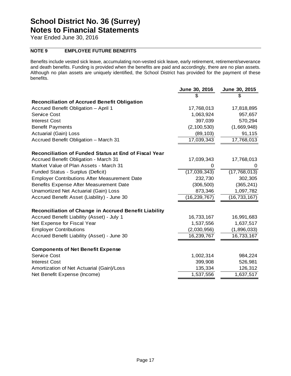Year Ended June 30, 2016

#### **NOTE 9 EMPLOYEE FUTURE BENEFITS**

Benefits include vested sick leave, accumulating non-vested sick leave, early retirement, retirement/severance and death benefits. Funding is provided when the benefits are paid and accordingly, there are no plan assets. Although no plan assets are uniquely identified, the School District has provided for the payment of these benefits.

|                                                              | June 30, 2016  | June 30, 2015  |
|--------------------------------------------------------------|----------------|----------------|
|                                                              |                |                |
| <b>Reconciliation of Accrued Benefit Obligation</b>          |                |                |
| Accrued Benefit Obligation - April 1                         | 17,768,013     | 17,818,895     |
| <b>Service Cost</b>                                          | 1,063,924      | 957,657        |
| <b>Interest Cost</b>                                         | 397,039        | 570,294        |
| <b>Benefit Payments</b>                                      | (2, 100, 530)  | (1,669,948)    |
| Actuarial (Gain) Loss                                        | (89, 103)      | 91,115         |
| Accrued Benefit Obligation - March 31                        | 17,039,343     | 17,768,013     |
| Reconciliation of Funded Status at End of Fiscal Year        |                |                |
| Accrued Benefit Obligation - March 31                        | 17,039,343     | 17,768,013     |
| Market Value of Plan Assets - March 31                       | 0              | 0              |
| Funded Status - Surplus (Deficit)                            | (17,039,343)   | (17, 768, 013) |
| <b>Employer Contributions After Measurement Date</b>         | 232,730        | 302,305        |
| Benefits Expense After Measurement Date                      | (306, 500)     | (365, 241)     |
| Unamortized Net Actuarial (Gain) Loss                        | 873,346        | 1,097,782      |
| Accrued Benefit Asset (Liability) - June 30                  | (16, 239, 767) | (16, 733, 167) |
| <b>Reconciliation of Change in Accrued Benefit Liability</b> |                |                |
| Accrued Benefit Liability (Asset) - July 1                   | 16,733,167     | 16,991,683     |
| Net Expense for Fiscal Year                                  | 1,537,556      | 1,637,517      |
| <b>Employer Contributions</b>                                | (2,030,956)    | (1,896,033)    |
| Accrued Benefit Liability (Asset) - June 30                  | 16,239,767     | 16,733,167     |
| <b>Components of Net Benefit Expense</b>                     |                |                |
| <b>Service Cost</b>                                          | 1,002,314      | 984,224        |
| <b>Interest Cost</b>                                         | 399,908        | 526,981        |
| Amortization of Net Actuarial (Gain)/Loss                    | 135,334        | 126,312        |
| Net Benefit Expense (Income)                                 | 1,537,556      | 1,637,517      |
|                                                              |                |                |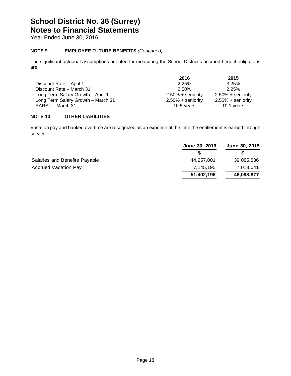Year Ended June 30, 2016

#### **NOTE 9 EMPLOYEE FUTURE BENEFITS** *(Continued)*

The significant actuarial assumptions adopted for measuring the School District's accrued benefit obligations are:

|                                    | 2016                 | 2015                 |
|------------------------------------|----------------------|----------------------|
| Discount Rate - April 1            | 2.25%                | 3.25%                |
| Discount Rate – March 31           | 2.50%                | 2.25%                |
| Long Term Salary Growth - April 1  | $2.50\% +$ seniority | $2.50\% +$ seniority |
| Long Term Salary Growth - March 31 | $2.50\% +$ seniority | $2.50\% +$ seniority |
| EARSL - March 31                   | 10.5 years           | 10.1 years           |

#### **NOTE 10 OTHER LIABILITIES**

Vacation pay and banked overtime are recognized as an expense at the time the entitlement is earned through service.

|                               | June 30, 2016 | June 30, 2015 |
|-------------------------------|---------------|---------------|
|                               |               |               |
| Salaries and Benefits Payable | 44,257,001    | 39,085,836    |
| <b>Accrued Vacation Pay</b>   | 7,145,195     | 7,013,041     |
|                               | 51,402,196    | 46,098,877    |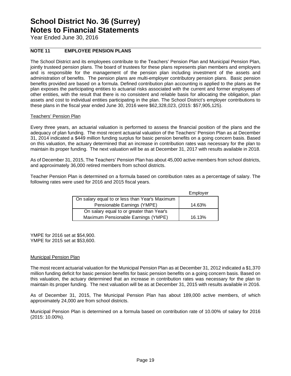Year Ended June 30, 2016

#### **NOTE 11 EMPLOYEE PENSION PLANS**

The School District and its employees contribute to the Teachers' Pension Plan and Municipal Pension Plan, jointly trusteed pension plans. The board of trustees for these plans represents plan members and employers and is responsible for the management of the pension plan including investment of the assets and administration of benefits. The pension plans are multi-employer contributory pension plans.Basic pension benefits provided are based on a formula. Defined contribution plan accounting is applied to the plans as the plan exposes the participating entities to actuarial risks associated with the current and former employees of other entities, with the result that there is no consistent and reliable basis for allocating the obligation, plan assets and cost to individual entities participating in the plan. The School District's employer contributions to these plans in the fiscal year ended June 30, 2016 were \$62,328,023, (2015: \$57,905,125).

#### Teachers' Pension Plan

Every three years, an actuarial valuation is performed to assess the financial position of the plans and the adequacy of plan funding. The most recent actuarial valuation of the Teachers' Pension Plan as at December 31, 2014 indicated a \$449 million funding surplus for basic pension benefits on a going concern basis. Based on this valuation, the actuary determined that an increase in contribution rates was necessary for the plan to maintain its proper funding. The next valuation will be as at December 31, 2017 with results available in 2018.

As of December 31, 2015, The Teachers' Pension Plan has about 45,000 active members from school districts, and approximately 36,000 retired members from school districts.

Teacher Pension Plan is determined on a formula based on contribution rates as a percentage of salary. The following rates were used for 2016 and 2015 fiscal years.

|                                                | Employer |
|------------------------------------------------|----------|
| On salary equal to or less than Year's Maximum |          |
| Pensionable Earnings (YMPE)                    | 14.63%   |
| On salary equal to or greater than Year's      |          |
| Maximum Pensionable Earnings (YMPE)            | 16.13%   |

YMPE for 2016 set at \$54,900. YMPE for 2015 set at \$53,600.

#### Municipal Pension Plan

The most recent actuarial valuation for the Municipal Pension Plan as at December 31, 2012 indicated a \$1,370 million funding deficit for basic pension benefits for basic pension benefits on a going concern basis. Based on this valuation, the actuary determined that an increase in contribution rates was necessary for the plan to maintain its proper funding. The next valuation will be as at December 31, 2015 with results available in 2016.

As of December 31, 2015, The Municipal Pension Plan has about 189,000 active members, of which approximately 24,000 are from school districts.

Municipal Pension Plan is determined on a formula based on contribution rate of 10.00% of salary for 2016 (2015: 10.00%).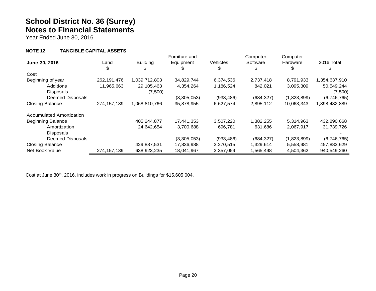Year Ended June 30, 2016

| <b>NOTE 12</b>                  | <b>TANGIBLE CAPITAL ASSETS</b> |                 |               |            |            |             |               |
|---------------------------------|--------------------------------|-----------------|---------------|------------|------------|-------------|---------------|
|                                 |                                |                 | Furniture and |            | Computer   | Computer    |               |
| June 30, 2016                   | Land                           | <b>Building</b> | Equipment     | Vehicles   | Software   | Hardware    | 2016 Total    |
|                                 | \$                             | \$              | S             | \$         | Ъ          | \$          | \$            |
| Cost                            |                                |                 |               |            |            |             |               |
| Beginning of year               | 262, 191, 476                  | 1,039,712,803   | 34,829,744    | 6,374,536  | 2,737,418  | 8,791,933   | 1,354,637,910 |
| <b>Additions</b>                | 11,965,663                     | 29, 105, 463    | 4,354,264     | 1,186,524  | 842,021    | 3,095,309   | 50,549,244    |
| <b>Disposals</b>                |                                | (7,500)         |               |            |            |             | (7,500)       |
| Deemed Disposals                |                                |                 | (3,305,053)   | (933, 486) | (684, 327) | (1,823,899) | (6,746,765)   |
| <b>Closing Balance</b>          | 274, 157, 139                  | 1,068,810,766   | 35,878,955    | 6,627,574  | 2,895,112  | 10,063,343  | 1,398,432,889 |
| <b>Accumulated Amortization</b> |                                |                 |               |            |            |             |               |
| <b>Beginning Balance</b>        |                                | 405,244,877     | 17,441,353    | 3,507,220  | 1,382,255  | 5,314,963   | 432,890,668   |
| Amortization                    |                                | 24,642,654      | 3,700,688     | 696,781    | 631,686    | 2,067,917   | 31,739,726    |
| <b>Disposals</b>                |                                |                 |               |            |            |             |               |
| Deemed Disposals                |                                |                 | (3,305,053)   | (933, 486) | (684, 327) | (1,823,899) | (6,746,765)   |
| <b>Closing Balance</b>          |                                | 429,887,531     | 17,836,988    | 3,270,515  | 1,329,614  | 5,558,981   | 457,883,629   |
| Net Book Value                  | 274, 157, 139                  | 638,923,235     | 18,041,967    | 3,357,059  | 1,565,498  | 4,504,362   | 940,549,260   |

Cost at June 30<sup>th</sup>, 2016, includes work in progress on Buildings for \$15,605,004.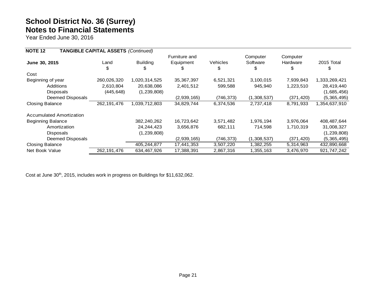Year Ended June 30, 2016

| <b>NOTE 12</b>                  | <b>TANGIBLE CAPITAL ASSETS (Continued)</b> |                 |               |                 |             |            |               |
|---------------------------------|--------------------------------------------|-----------------|---------------|-----------------|-------------|------------|---------------|
|                                 |                                            |                 | Furniture and |                 | Computer    | Computer   |               |
| June 30, 2015                   | Land                                       | <b>Building</b> | Equipment     | <b>Vehicles</b> | Software    | Hardware   | 2015 Total    |
|                                 | \$.                                        | \$              | S             | \$              | Ъ           | \$         | S             |
| Cost                            |                                            |                 |               |                 |             |            |               |
| Beginning of year               | 260,026,320                                | 1,020,314,525   | 35, 367, 397  | 6,521,321       | 3,100,015   | 7,939,843  | 1,333,269,421 |
| Additions                       | 2,610,804                                  | 20,638,086      | 2,401,512     | 599,588         | 945,940     | 1,223,510  | 28,419,440    |
| Disposals                       | (445, 648)                                 | (1,239,808)     |               |                 |             |            | (1,685,456)   |
| Deemed Disposals                |                                            |                 | (2,939,165)   | (746, 373)      | (1,308,537) | (371, 420) | (5,365,495)   |
| <b>Closing Balance</b>          | 262, 191, 476                              | 1,039,712,803   | 34,829,744    | 6,374,536       | 2,737,418   | 8,791,933  | 1,354,637,910 |
| <b>Accumulated Amortization</b> |                                            |                 |               |                 |             |            |               |
| <b>Beginning Balance</b>        |                                            | 382,240,262     | 16,723,642    | 3,571,482       | 1,976,194   | 3,976,064  | 408,487,644   |
| Amortization                    |                                            | 24, 244, 423    | 3,656,876     | 682,111         | 714,598     | 1,710,319  | 31,008,327    |
| Disposals                       |                                            | (1,239,808)     |               |                 |             |            | (1, 239, 808) |
| Deemed Disposals                |                                            |                 | (2,939,165)   | (746, 373)      | (1,308,537) | (371, 420) | (5,365,495)   |
| <b>Closing Balance</b>          |                                            | 405,244,877     | 17,441,353    | 3,507,220       | 1,382,255   | 5,314,963  | 432,890,668   |
| Net Book Value                  | 262, 191, 476                              | 634,467,926     | 17,388,391    | 2,867,316       | 1,355,163   | 3,476,970  | 921,747,242   |

Cost at June 30<sup>th</sup>, 2015, includes work in progress on Buildings for \$11,632,062.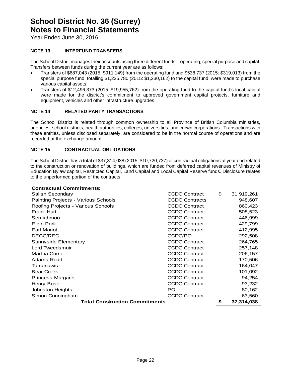Year Ended June 30, 2016

#### **NOTE 13 INTERFUND TRANSFERS**

The School District manages their accounts using three different funds – operating, special purpose and capital. Transfers between funds during the current year are as follows:

- Transfers of \$687,043 (2015: \$911,149) from the operating fund and \$538,737 (2015: \$319,013) from the special purpose fund, totalling \$1,225,780 (2015: \$1,230,162) to the capital fund, were made to purchase various capital assets;
- Transfers of \$12,496,373 (2015: \$19,955,762) from the operating fund to the capital fund's local capital were made for the district's commitment to approved government capital projects, furniture and equipment, vehicles and other infrastructure upgrades.

#### **NOTE 14 RELATED PARTY TRANSACTIONS**

The School District is related through common ownership to all Province of British Columbia ministries, agencies, school districts, health authorities, colleges, universities, and crown corporations. Transactions with these entities, unless disclosed separately, are considered to be in the normal course of operations and are recorded at the exchange amount.

#### **NOTE 15 CONTRACTUAL OBLIGATIONS**

The School District has a total of \$37,314,038 (2015: \$10,720,737) of contractual obligations at year end related to the construction or renovation of buildings, which are funded from deferred capital revenues of Ministry of Education Bylaw capital, Restricted Capital, Land Capital and Local Capital Reserve funds. Disclosure relates to the unperformed portion of the contracts.

#### **Contractual Commitments:**

| Salish Secondary                      | <b>CCDC Contract</b>  | \$<br>31,919,261 |
|---------------------------------------|-----------------------|------------------|
| Painting Projects - Various Schools   | <b>CCDC Contracts</b> | 948,607          |
| Roofing Projects - Various Schools    | <b>CCDC Contract</b>  | 860,423          |
| Frank Hurt                            | <b>CCDC Contract</b>  | 508,523          |
| Semiahmoo                             | <b>CCDC Contract</b>  | 446,999          |
| Elgin Park                            | <b>CCDC Contract</b>  | 429,799          |
| <b>Earl Mariott</b>                   | <b>CCDC Contract</b>  | 412,995          |
| DECC/REC                              | CCDC/PO               | 292,508          |
| Sunnyside Elementary                  | <b>CCDC Contract</b>  | 264,765          |
| Lord Tweedsmuir                       | <b>CCDC Contract</b>  | 257,148          |
| <b>Martha Currie</b>                  | <b>CCDC Contract</b>  | 206,157          |
| Adams Road                            | <b>CCDC Contract</b>  | 170,506          |
| Tamanawis                             | <b>CCDC Contract</b>  | 164,047          |
| <b>Bear Creek</b>                     | <b>CCDC Contract</b>  | 101,092          |
| <b>Princess Margaret</b>              | <b>CCDC Contract</b>  | 94,254           |
| Henry Bose                            | <b>CCDC Contract</b>  | 93,232           |
| Johnston Heights                      | PO.                   | 80,162           |
| Simon Cunningham                      | <b>CCDC Contract</b>  | 63,560           |
| <b>Total Construction Commitments</b> |                       | \$<br>37,314,038 |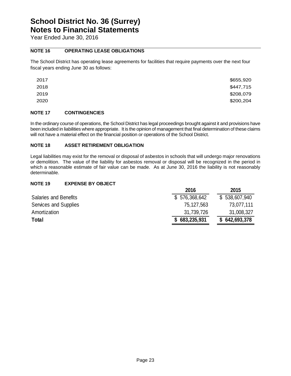Year Ended June 30, 2016

#### **NOTE 16 OPERATING LEASE OBLIGATIONS**

The School District has operating lease agreements for facilities that require payments over the next four fiscal years ending June 30 as follows:

| 2017 | \$655,920 |
|------|-----------|
| 2018 | \$447,715 |
| 2019 | \$208,079 |
| 2020 | \$200,204 |

#### **NOTE 17 CONTINGENCIES**

In the ordinary course of operations, the School District has legal proceedings brought against it and provisions have been included in liabilities where appropriate. It is the opinion of management that final determination of these claims will not have a material effect on the financial position or operations of the School District.

#### **NOTE 18 ASSET RETIREMENT OBLIGATION**

Legal liabilities may exist for the removal or disposal of asbestos in schools that will undergo major renovations or demolition. The value of the liability for asbestos removal or disposal will be recognized in the period in which a reasonable estimate of fair value can be made. As at June 30, 2016 the liability is not reasonably determinable.

#### **NOTE 19 EXPENSE BY OBJECT**

|                              | 2016          | 2015          |
|------------------------------|---------------|---------------|
| <b>Salaries and Benefits</b> | \$576,368,642 | \$538,607,940 |
| Services and Supplies        | 75,127,563    | 73,077,111    |
| Amortization                 | 31,739,726    | 31,008,327    |
| <b>Total</b>                 | \$683,235,931 | \$642,693,378 |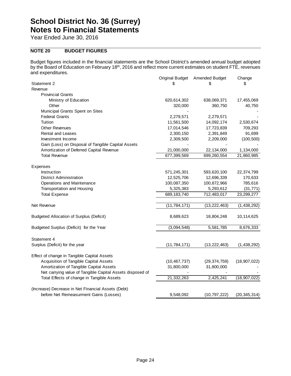Year Ended June 30, 2016

#### **NOTE 20 BUDGET FIGURES**

Budget figures included in the financial statements are the School District's amended annual budget adopted by the Board of Education on February 18th, 2016 and reflect more current estimates on student FTE, revenues and expenditures.

|                                                           |                | Original Budget Amended Budget | Change         |
|-----------------------------------------------------------|----------------|--------------------------------|----------------|
| Statement 2                                               | S              | S                              | \$.            |
| Revenue                                                   |                |                                |                |
| <b>Provincial Grants</b>                                  |                |                                |                |
| Ministry of Education                                     | 620,614,302    | 638,069,371                    | 17,455,069     |
| Other                                                     | 320,000        | 360,750                        | 40,750         |
| Municipal Grants Spent on Sites                           |                |                                |                |
| <b>Federal Grants</b>                                     | 2,279,571      | 2,279,571                      |                |
| Tuition                                                   | 11,561,500     | 14,092,174                     | 2,530,674      |
| <b>Other Revenues</b>                                     | 17,014,546     | 17,723,839                     | 709,293        |
| <b>Rental and Leases</b>                                  | 2,300,150      | 2,391,849                      | 91,699         |
| Investment Income                                         | 2,309,500      | 2,209,000                      | (100, 500)     |
| Gain (Loss) on Disposal of Tangible Capital Assets        |                |                                |                |
| Amortization of Deferred Capital Revenue                  | 21,000,000     | 22,134,000                     | 1,134,000      |
| <b>Total Revenue</b>                                      | 677,399,569    | 699,260,554                    | 21,860,985     |
|                                                           |                |                                |                |
| Expenses                                                  |                |                                |                |
| Instruction                                               | 571,245,301    | 593,620,100                    | 22,374,799     |
| <b>District Administration</b>                            | 12,525,706     | 12,696,339                     | 170,633        |
| Operations and Maintenance                                | 100,087,350    | 100,872,966                    | 785,616        |
| Transportation and Housing                                | 5,325,383      | 5,293,612                      | (31, 771)      |
| <b>Total Expense</b>                                      | 689, 183, 740  | 712,483,017                    | 23,299,277     |
|                                                           |                |                                |                |
| Net Revenue                                               | (11, 784, 171) | (13, 222, 463)                 | (1, 438, 292)  |
| <b>Budgeted Allocation of Surplus (Deficit)</b>           | 8,689,623      | 18,804,248                     | 10,114,625     |
|                                                           |                |                                |                |
| Budgeted Surplus (Deficit) for the Year                   | (3,094,548)    | 5,581,785                      | 8,676,333      |
| Statement 4                                               |                |                                |                |
| Surplus (Deficit) for the year                            | (11, 784, 171) | (13, 222, 463)                 | (1,438,292)    |
| Effect of change in Tangible Capital Assets               |                |                                |                |
| Acquisition of Tangible Capital Assets                    | (10, 467, 737) | (29, 374, 759)                 | (18, 907, 022) |
| Amortization of Tangible Capital Assets                   | 31,800,000     | 31,800,000                     |                |
| Net carrying value of Tangible Capital Assets disposed of |                |                                |                |
| Total Effects of change in Tangible Assets                | 21,332,263     | 2,425,241                      | (18,907,022)   |
|                                                           |                |                                |                |
| (Increase) Decrease in Net Financial Assets (Debt)        |                |                                |                |
| before Net Remeasurment Gains (Losses)                    | 9,548,092      | (10, 797, 222)                 | (20, 345, 314) |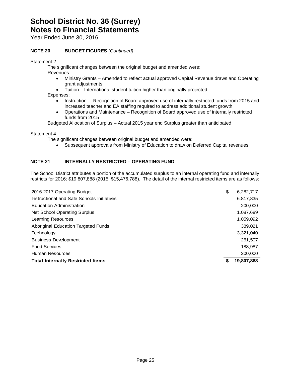Year Ended June 30, 2016

#### **NOTE 20 BUDGET FIGURES** *(Continued)*

Statement 2

The significant changes between the original budget and amended were:

Revenues:

- Ministry Grants Amended to reflect actual approved Capital Revenue draws and Operating grant adjustments
- Tuition International student tuition higher than originally projected

Expenses:

- Instruction Recognition of Board approved use of internally restricted funds from 2015 and increased teacher and EA staffing required to address additional student growth
- Operations and Maintenance Recognition of Board approved use of internally restricted funds from 2015

Budgeted Allocation of Surplus – Actual 2015 year end Surplus greater than anticipated

Statement 4

The significant changes between original budget and amended were:

Subsequent approvals from Ministry of Education to draw on Deferred Capital revenues

#### **NOTE 21 INTERNALLY RESTRICTED – OPERATING FUND**

The School District attributes a portion of the accumulated surplus to an internal operating fund and internally restricts for 2016: \$19,807,888 (2015: \$15,476,788). The detail of the internal restricted items are as follows:

| 2016-2017 Operating Budget                 | \$<br>6,282,717 |
|--------------------------------------------|-----------------|
| Instructional and Safe Schools Initiatives | 6,817,835       |
| <b>Education Administration</b>            | 200,000         |
| Net School Operating Surplus               | 1,087,689       |
| Learning Resources                         | 1,059,092       |
| Aboriginal Education Targeted Funds        | 389,021         |
| Technology                                 | 3,321,040       |
| <b>Business Development</b>                | 261,507         |
| <b>Food Services</b>                       | 188,987         |
| Human Resources                            | 200,000         |
| <b>Total Internally Restricted Items</b>   | 19,807,888      |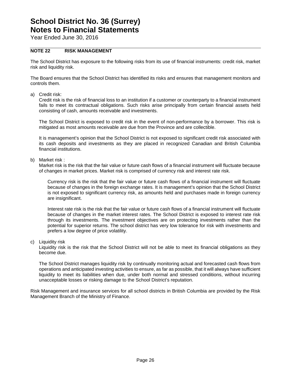Year Ended June 30, 2016

#### **NOTE 22 RISK MANAGEMENT**

The School District has exposure to the following risks from its use of financial instruments: credit risk, market risk and liquidity risk.

The Board ensures that the School District has identified its risks and ensures that management monitors and controls them.

a) Credit risk:

Credit risk is the risk of financial loss to an institution if a customer or counterparty to a financial instrument fails to meet its contractual obligations. Such risks arise principally from certain financial assets held consisting of cash, amounts receivable and investments.

The School District is exposed to credit risk in the event of non-performance by a borrower. This risk is mitigated as most amounts receivable are due from the Province and are collectible.

It is management's opinion that the School District is not exposed to significant credit risk associated with its cash deposits and investments as they are placed in recognized Canadian and British Columbia financial institutions.

b) Market risk :

Market risk is the risk that the fair value or future cash flows of a financial instrument will fluctuate because of changes in market prices. Market risk is comprised of currency risk and interest rate risk.

Currency risk is the risk that the fair value or future cash flows of a financial instrument will fluctuate because of changes in the foreign exchange rates. It is management's opinion that the School District is not exposed to significant currency risk, as amounts held and purchases made in foreign currency are insignificant.

Interest rate risk is the risk that the fair value or future cash flows of a financial instrument will fluctuate because of changes in the market interest rates. The School District is exposed to interest rate risk through its investments. The investment objectives are on protecting investments rather than the potential for superior returns. The school district has very low tolerance for risk with investments and prefers a low degree of price volatility.

c) Liquidity risk

Liquidity risk is the risk that the School District will not be able to meet its financial obligations as they become due.

The School District manages liquidity risk by continually monitoring actual and forecasted cash flows from operations and anticipated investing activities to ensure, as far as possible, that it will always have sufficient liquidity to meet its liabilities when due, under both normal and stressed conditions, without incurring unacceptable losses or risking damage to the School District's reputation.

Risk Management and insurance services for all school districts in British Columbia are provided by the Risk Management Branch of the Ministry of Finance.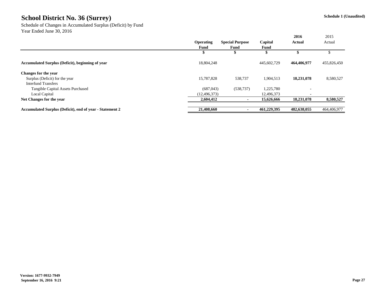Schedule of Changes in Accumulated Surplus (Deficit) by Fund Year Ended June 30, 2016

|                                                                 |                  |                        |             | 2016          | 2015        |
|-----------------------------------------------------------------|------------------|------------------------|-------------|---------------|-------------|
|                                                                 | <b>Operating</b> | <b>Special Purpose</b> | Capital     | <b>Actual</b> | Actual      |
|                                                                 | <b>Fund</b>      | <b>Fund</b>            | <b>Fund</b> |               |             |
|                                                                 | \$               | ñ.                     |             |               |             |
| <b>Accumulated Surplus (Deficit), beginning of year</b>         | 18,804,248       |                        | 445,602,729 | 464,406,977   | 455,826,450 |
| <b>Changes for the year</b>                                     |                  |                        |             |               |             |
| Surplus (Deficit) for the year                                  | 15,787,828       | 538,737                | 1,904,513   | 18,231,078    | 8,580,527   |
| <b>Interfund Transfers</b>                                      |                  |                        |             |               |             |
| <b>Tangible Capital Assets Purchased</b>                        | (687, 043)       | (538, 737)             | 1,225,780   |               |             |
| Local Capital                                                   | (12, 496, 373)   |                        | 12,496,373  |               |             |
| Net Changes for the year                                        | 2,604,412        |                        | 15,626,666  | 18,231,078    | 8,580,527   |
| <b>Accumulated Surplus (Deficit), end of year - Statement 2</b> | 21,408,660       |                        | 461,229,395 | 482,638,055   | 464,406,977 |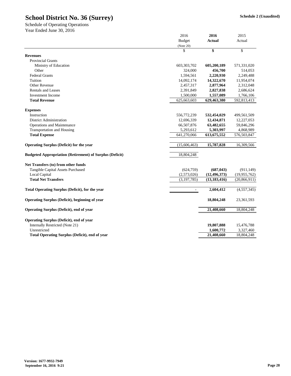|                                                                 | 2016          | 2016           | 2015           |
|-----------------------------------------------------------------|---------------|----------------|----------------|
|                                                                 | <b>Budget</b> | <b>Actual</b>  | Actual         |
|                                                                 | (Note 20)     |                |                |
|                                                                 | \$            | \$             | \$             |
| <b>Revenues</b>                                                 |               |                |                |
| <b>Provincial Grants</b>                                        |               |                |                |
| Ministry of Education                                           | 603, 303, 702 | 605,200,189    | 571,331,020    |
| Other                                                           | 324,000       | 456,700        | 514,053        |
| <b>Federal Grants</b>                                           | 1,594,561     | 2,220,930      | 2,249,488      |
| Tuition                                                         | 14,092,174    | 14,322,670     | 11,954,074     |
| <b>Other Revenue</b>                                            | 2,457,317     | 2,877,964      | 2,312,048      |
| <b>Rentals and Leases</b>                                       | 2,391,849     | 2,827,838      | 2,686,624      |
| <b>Investment Income</b>                                        | 1,500,000     | 1,557,089      | 1,766,106      |
| <b>Total Revenue</b>                                            | 625,663,603   | 629,463,380    | 592,813,413    |
| <b>Expenses</b>                                                 |               |                |                |
| Instruction                                                     | 556,772,239   | 532,454,029    | 499,561,509    |
| <b>District Administration</b>                                  | 12,696,339    | 12,434,871     | 12,227,053     |
| <b>Operations and Maintenance</b>                               | 66,507,876    | 63,482,655     | 59,846,296     |
| <b>Transportation and Housing</b>                               | 5,293,612     | 5,303,997      | 4,868,989      |
| <b>Total Expense</b>                                            | 641,270,066   | 613, 675, 552  | 576,503,847    |
| <b>Operating Surplus (Deficit) for the year</b>                 | (15,606,463)  | 15,787,828     | 16,309,566     |
|                                                                 |               |                |                |
| <b>Budgeted Appropriation (Retirement) of Surplus (Deficit)</b> | 18,804,248    |                |                |
| Net Transfers (to) from other funds                             |               |                |                |
| <b>Tangible Capital Assets Purchased</b>                        | (624, 759)    | (687, 043)     | (911, 149)     |
| Local Capital                                                   | (2,573,026)   | (12, 496, 373) | (19, 955, 762) |
| <b>Total Net Transfers</b>                                      | (3, 197, 785) | (13, 183, 416) | (20, 866, 911) |
| <b>Total Operating Surplus (Deficit), for the year</b>          |               | 2,604,412      | (4,557,345)    |
|                                                                 |               |                |                |
| <b>Operating Surplus (Deficit), beginning of year</b>           |               | 18,804,248     | 23,361,593     |
| <b>Operating Surplus (Deficit), end of year</b>                 |               | 21,408,660     | 18,804,248     |
| <b>Operating Surplus (Deficit), end of year</b>                 |               |                |                |
| Internally Restricted (Note 21)                                 |               | 19,807,888     | 15,476,788     |
| Unrestricted                                                    |               | 1,600,772      | 3,327,460      |
| <b>Total Operating Surplus (Deficit), end of year</b>           |               | 21,408,660     | 18,804,248     |

Schedule of Operating Operations Year Ended June 30, 2016

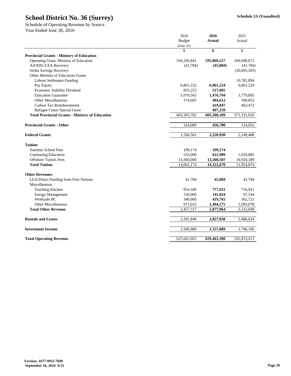|                                                        | 2016          | 2016          | 2015           |
|--------------------------------------------------------|---------------|---------------|----------------|
|                                                        | <b>Budget</b> | <b>Actual</b> | Actual         |
|                                                        | (Note 20)     |               |                |
|                                                        | \$            | \$            | \$             |
| <b>Provincial Grants - Ministry of Education</b>       |               |               |                |
| Operating Grant, Ministry of Education                 | 594,196,841   | 595,069,227   | 569,680,671    |
| <b>AANDC/LEA Recovery</b>                              | (41,784)      | (45, 869)     | (41,784)       |
| <b>Strike Savings Recovery</b>                         |               |               | (20, 695, 205) |
| <b>Other Ministry of Education Grants</b>              |               |               |                |
| Labour Settlement Funding                              |               |               | 10,781,894     |
| Pay Equity                                             | 6,861,222     | 6,861,224     | 6,861,224      |
| <b>Economic Stability Dividend</b>                     | 833,253       | 517,095       |                |
| <b>Education Guarantee</b>                             | 1,079,565     | 1,476,794     | 3,779,895      |
| <b>Other Miscellaneous</b>                             | 374,605       | 404,612       | 500,853        |
| Carbon Tax Reimbursement                               |               | 419,847       | 463,472        |
| Refugee Count Special Grant                            |               | 497,259       |                |
| <b>Total Provincial Grants - Ministry of Education</b> | 603,303,702   | 605,200,189   | 571,331,020    |
| <b>Provincial Grants - Other</b>                       | 324,000       | 456,700       | 514,053        |
|                                                        |               |               |                |
| <b>Federal Grants</b>                                  | 1,594,561     | 2,220,930     | 2,249,488      |
| <b>Tuition</b>                                         |               |               |                |
| <b>Summer School Fees</b>                              | 199,174       | 199,174       |                |
| <b>Continuing Education</b>                            | 533,000       | 622,989       | 1,029,885      |
| <b>Offshore Tuition Fees</b>                           | 13,360,000    | 13,500,507    | 10,924,189     |
| <b>Total Tuition</b>                                   | 14,092,174    | 14,322,670    | 11,954,074     |
| <b>Other Revenues</b>                                  |               |               |                |
| <b>LEA/Direct Funding from First Nations</b>           | 41,784        | 45,869        | 41,784         |
| Miscellaneous                                          |               |               |                |
| Teaching Kitchen                                       | 954,500       | 777,031       | 716,921        |
| <b>Energy Management</b>                               | 150,000       | 141,024       | 97,544         |
| Worksafe BC                                            | 340,000       | 419,765       | 362,721        |
| <b>Other Miscellaneous</b>                             | 971,033       | 1,494,275     | 1,093,078      |
| <b>Total Other Revenue</b>                             | 2,457,317     | 2,877,964     | 2,312,048      |
| <b>Rentals and Leases</b>                              | 2,391,849     | 2,827,838     | 2,686,624      |
| <b>Investment Income</b>                               | 1,500,000     | 1,557,089     | 1,766,106      |
| <b>Total Operating Revenue</b>                         | 625,663,603   | 629,463,380   | 592,813,413    |
|                                                        |               |               |                |

Schedule of Operating Revenue by Source Year Ended June 30, 2016

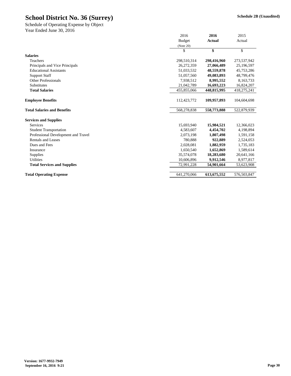|                                     | 2016          | 2016          | 2015        |
|-------------------------------------|---------------|---------------|-------------|
|                                     | <b>Budget</b> | <b>Actual</b> | Actual      |
|                                     | (Note 20)     |               |             |
|                                     | \$            | \$            | \$          |
| <b>Salaries</b>                     |               |               |             |
| Teachers                            | 298,510,314   | 298,416,960   | 273,537,942 |
| Principals and Vice Principals      | 26,272,359    | 27,066,489    | 25,196,597  |
| <b>Educational Assistants</b>       | 51,033,532    | 48,559,878    | 45,753,286  |
| <b>Support Staff</b>                | 51,057,560    | 49,083,893    | 48,799,476  |
| <b>Other Professionals</b>          | 7,938,512     | 8,995,552     | 8,163,733   |
| <b>Substitutes</b>                  | 21,042,789    | 16,693,223    | 16,824,207  |
| <b>Total Salaries</b>               | 455,855,066   | 448,815,995   | 418,275,241 |
| <b>Employee Benefits</b>            | 112,423,772   | 109,957,893   | 104,604,698 |
| <b>Total Salaries and Benefits</b>  | 568,278,838   | 558,773,888   | 522,879,939 |
| <b>Services and Supplies</b>        |               |               |             |
| Services                            | 15,693,940    | 15,984,521    | 12,366,023  |
| <b>Student Transportation</b>       | 4,583,607     | 4,454,702     | 4,198,894   |
| Professional Development and Travel | 2,073,198     | 1,807,498     | 1,591,158   |
| <b>Rentals and Leases</b>           | 780,888       | 922,889       | 2,524,053   |
| Dues and Fees                       | 2,028,081     | 1,882,959     | 1,735,183   |
| Insurance                           | 1,650,540     | 1,652,869     | 1,589,614   |
| Supplies                            | 35,574,078    | 18,283,680    | 20,641,166  |
| <b>Utilities</b>                    | 10,606,896    | 9,912,546     | 8,977,817   |
| <b>Total Services and Supplies</b>  | 72,991,228    | 54,901,664    | 53,623,908  |
| <b>Total Operating Expense</b>      | 641,270,066   | 613, 675, 552 | 576,503,847 |

Year Ended June 30, 2016 Schedule of Operating Expense by Object

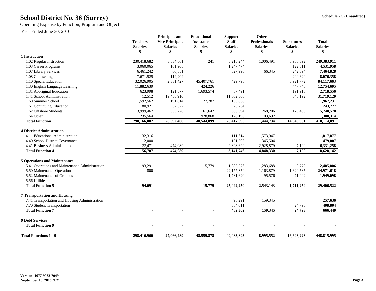## **Schedule 2C (Unaudited) School District No. 36 (Surrey)**

Operating Expense by Function, Program and Object

|                                                | <b>Teachers</b><br><b>Salaries</b> | <b>Principals and</b><br><b>Vice Principals</b><br><b>Salaries</b> | <b>Educational</b><br><b>Assistants</b><br><b>Salaries</b> | <b>Support</b><br><b>Staff</b><br><b>Salaries</b> | <b>Other</b><br><b>Professionals</b><br><b>Salaries</b> | <b>Substitutes</b><br><b>Salaries</b> | <b>Total</b><br><b>Salaries</b> |
|------------------------------------------------|------------------------------------|--------------------------------------------------------------------|------------------------------------------------------------|---------------------------------------------------|---------------------------------------------------------|---------------------------------------|---------------------------------|
|                                                |                                    |                                                                    | \$                                                         | N.                                                |                                                         |                                       |                                 |
| 1 Instruction                                  |                                    |                                                                    |                                                            |                                                   |                                                         |                                       |                                 |
| 1.02 Regular Instruction                       | 230,418,682                        | 3,834,861                                                          | 241                                                        | 5,215,244                                         | 1,006,491                                               | 8,908,392                             | 249,383,911                     |
| 1.03 Career Programs                           | 3,060,065                          | 101,908                                                            |                                                            | 1,247,474                                         |                                                         | 122,511                               | 4,531,958                       |
| 1.07 Library Services                          | 6,461,242                          | 66,851                                                             |                                                            | 627,996                                           | 66,345                                                  | 242,394                               | 7,464,828                       |
| 1.08 Counselling                               | 7,671,525                          | 114,204                                                            |                                                            |                                                   |                                                         | 290,629                               | 8,076,358                       |
| 1.10 Special Education                         | 32,026,905                         | 2,331,427                                                          | 45,407,761                                                 | 429,798                                           |                                                         | 3,921,772                             | 84,117,663                      |
| 1.30 English Language Learning                 | 11,882,639                         |                                                                    | 424,226                                                    |                                                   |                                                         | 447,740                               | 12,754,605                      |
| 1.31 Aboriginal Education                      | 623,998                            | 121,577                                                            | 1,693,574                                                  | 87,491                                            |                                                         | 191,916                               | 2,718,556                       |
| 1.41 School Administration                     | 12,512                             | 19,458,910                                                         |                                                            | 11,602,506                                        |                                                         | 645,192                               | 31,719,120                      |
| 1.60 Summer School                             | 1,592,562                          | 191,814                                                            | 27,787                                                     | 155,068                                           |                                                         |                                       | 1,967,231                       |
| 1.61 Continuing Education                      | 180,921                            | 37,622                                                             |                                                            | 25,234                                            |                                                         |                                       | 243,777                         |
| 1.62 Offshore Students                         | 3,999,467                          | 333,226                                                            | 61,642                                                     | 906,594                                           | 268,206                                                 | 179,435                               | 5,748,570                       |
| 1.64 Other                                     | 235,564                            |                                                                    | 928,868                                                    | 120,190                                           | 103,692                                                 |                                       | 1,388,314                       |
| <b>Total Function 1</b>                        | 298,166,082                        | 26,592,400                                                         | 48,544,099                                                 | 20,417,595                                        | 1,444,734                                               | 14,949,981                            | 410,114,891                     |
| <b>4 District Administration</b>               |                                    |                                                                    |                                                            |                                                   |                                                         |                                       |                                 |
| 4.11 Educational Administration                | 132,316                            |                                                                    |                                                            | 111,614                                           | 1,573,947                                               |                                       | 1,817,877                       |
| 4.40 School District Governance                | 2,000                              |                                                                    |                                                            | 131,503                                           | 345,504                                                 |                                       | 479,007                         |
| 4.41 Business Administration                   | 22,471                             | 474,089                                                            |                                                            | 2,898,629                                         | 2,928,879                                               | 7,190                                 | 6,331,258                       |
| <b>Total Function 4</b>                        | 156,787                            | 474,089                                                            |                                                            | 3, 141, 746                                       | 4,848,330                                               | 7,190                                 | 8,628,142                       |
| <b>5 Operations and Maintenance</b>            |                                    |                                                                    |                                                            |                                                   |                                                         |                                       |                                 |
| 5.41 Operations and Maintenance Administration | 93,291                             |                                                                    | 15,779                                                     | 1,083,276                                         | 1,283,688                                               | 9,772                                 | 2,485,806                       |
| 5.50 Maintenance Operations                    | 800                                |                                                                    |                                                            | 22, 177, 354                                      | 1,163,879                                               | 1,629,585                             | 24,971,618                      |
| 5.52 Maintenance of Grounds                    |                                    |                                                                    |                                                            | 1,781,620                                         | 95,576                                                  | 71,902                                | 1,949,098                       |
| 5.56 Utilities                                 |                                    |                                                                    |                                                            |                                                   |                                                         |                                       |                                 |
| <b>Total Function 5</b>                        | 94,091                             | $\blacksquare$                                                     | 15,779                                                     | 25,042,250                                        | 2,543,143                                               | 1,711,259                             | 29,406,522                      |
| <b>7 Transportation and Housing</b>            |                                    |                                                                    |                                                            |                                                   |                                                         |                                       |                                 |
| 7.41 Transportation and Housing Administration |                                    |                                                                    |                                                            | 98,291                                            | 159,345                                                 |                                       | 257,636                         |
| 7.70 Student Transportation                    |                                    |                                                                    |                                                            | 384,011                                           |                                                         | 24,793                                | 408,804                         |
| <b>Total Function 7</b>                        |                                    | $\blacksquare$                                                     | $\blacksquare$                                             | 482,302                                           | 159,345                                                 | 24,793                                | 666,440                         |
| <b>9 Debt Services</b>                         |                                    |                                                                    |                                                            |                                                   |                                                         |                                       |                                 |
| <b>Total Function 9</b>                        | $\blacksquare$                     | $\blacksquare$                                                     | $\blacksquare$                                             | $\blacksquare$                                    | $\blacksquare$                                          |                                       |                                 |
| <b>Total Functions 1 - 9</b>                   | 298,416,960                        | 27,066,489                                                         | 48,559,878                                                 | 49,083,893                                        | 8,995,552                                               | 16,693,223                            | 448,815,995                     |
|                                                |                                    |                                                                    |                                                            |                                                   |                                                         |                                       |                                 |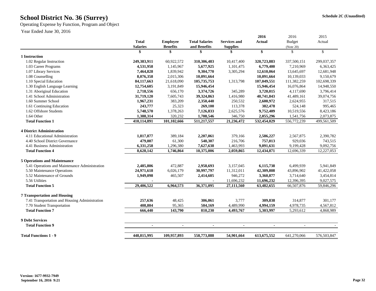## **Schedule 2C (Unaudited) School District No. 36 (Surrey)**

Operating Expense by Function, Program and Object

|                                                |                 |                 |                       |                     | 2016          | 2016                     | 2015        |
|------------------------------------------------|-----------------|-----------------|-----------------------|---------------------|---------------|--------------------------|-------------|
|                                                | <b>Total</b>    | <b>Employee</b> | <b>Total Salaries</b> | <b>Services and</b> | <b>Actual</b> | <b>Budget</b>            | Actual      |
|                                                | <b>Salaries</b> | <b>Benefits</b> | and Benefits          | <b>Supplies</b>     |               | (Note 20)                |             |
|                                                |                 |                 | \$                    |                     | \$            | \$                       | \$          |
| 1 Instruction                                  |                 |                 |                       |                     |               |                          |             |
| 1.02 Regular Instruction                       | 249,383,911     | 60,922,572      | 310,306,483           | 10,417,400          | 320,723,883   | 337,500,151              | 299,037,357 |
| 1.03 Career Programs                           | 4,531,958       | 1,145,967       | 5,677,925             | 1,101,475           | 6,779,400     | 7,210,969                | 6,363,425   |
| 1.07 Library Services                          | 7,464,828       | 1,839,942       | 9,304,770             | 3,305,294           | 12,610,064    | 13,645,697               | 12,681,948  |
| 1.08 Counselling                               | 8,076,358       | 2,015,306       | 10,091,664            |                     | 10,091,664    | 10,139,033               | 9,150,679   |
| 1.10 Special Education                         | 84,117,663      | 21,618,090      | 105,735,753           | 1,313,798           | 107,049,551   | 111,382,259              | 102,698,339 |
| 1.30 English Language Learning                 | 12,754,605      | 3,191,849       | 15,946,454            |                     | 15,946,454    | 16,076,864               | 14,948,550  |
| 1.31 Aboriginal Education                      | 2,718,556       | 656,170         | 3,374,726             | 345,289             | 3,720,015     | 4,117,690                | 3,796,414   |
| 1.41 School Administration                     | 31,719,120      | 7,605,743       | 39,324,863            | 1,416,980           | 40,741,843    | 41,489,161               | 39,074,756  |
| 1.60 Summer School                             | 1,967,231       | 383,209         | 2,350,440             | 250,532             | 2,600,972     | 2,624,955                | 317,515     |
| 1.61 Continuing Education                      | 243,777         | 25,323          | 269,100               | 113,378             | 382,478       | 524,148                  | 995,465     |
| 1.62 Offshore Students                         | 5,748,570       | 1,378,263       | 7,126,833             | 2,625,576           | 9,752,409     | 10,519,556               | 8,423,186   |
| 1.64 Other                                     | 1,388,314       | 320,232         | 1,708,546             | 346,750             | 2,055,296     | 1,541,756                | 2,073,875   |
| <b>Total Function 1</b>                        | 410,114,891     | 101,102,666     | 511,217,557           | 21,236,472          | 532,454,029   | 556,772,239              | 499,561,509 |
| <b>4 District Administration</b>               |                 |                 |                       |                     |               |                          |             |
| 4.11 Educational Administration                | 1,817,877       | 389,184         | 2,207,061             | 379,166             | 2,586,227     | 2,567,875                | 2,390,782   |
| 4.40 School District Governance                | 479,007         | 61,300          | 540,307               | 216,706             | 757,013       | 929,036                  | 743,515     |
| 4.41 Business Administration                   | 6,331,258       | 1,296,380       | 7,627,638             | 1,463,993           | 9,091,631     | 9,199,428                | 9,092,756   |
| <b>Total Function 4</b>                        | 8,628,142       | 1,746,864       | 10,375,006            | 2,059,865           | 12,434,871    | 12,696,339               | 12,227,053  |
|                                                |                 |                 |                       |                     |               |                          |             |
| <b>5 Operations and Maintenance</b>            |                 |                 |                       |                     |               |                          |             |
| 5.41 Operations and Maintenance Administration | 2,485,806       | 472,887         | 2,958,693             | 3,157,045           | 6,115,738     | 6,499,939                | 5,941,849   |
| 5.50 Maintenance Operations                    | 24,971,618      | 6,026,179       | 30,997,797            | 11,312,011          | 42,309,808    | 43,896,902               | 41,422,058  |
| 5.52 Maintenance of Grounds                    | 1,949,098       | 465,507         | 2,414,605             | 946,272             | 3,360,877     | 3,714,640                | 3,454,814   |
| 5.56 Utilities                                 |                 |                 |                       | 11,696,232          | 11,696,232    | 12,396,395               | 9,027,575   |
| <b>Total Function 5</b>                        | 29,406,522      | 6,964,573       | 36,371,095            | 27,111,560          | 63,482,655    | 66,507,876               | 59,846,296  |
| <b>7 Transportation and Housing</b>            |                 |                 |                       |                     |               |                          |             |
| 7.41 Transportation and Housing Administration | 257,636         | 48,425          | 306,061               | 3,777               | 309,838       | 314,877                  | 301,177     |
| 7.70 Student Transportation                    | 408,804         | 95,365          | 504,169               | 4,489,990           | 4,994,159     | 4,978,735                | 4,567,812   |
| <b>Total Function 7</b>                        | 666,440         | 143,790         | 810,230               | 4,493,767           | 5,303,997     | 5,293,612                | 4,868,989   |
|                                                |                 |                 |                       |                     |               |                          |             |
| <b>9 Debt Services</b>                         |                 |                 |                       |                     |               |                          |             |
| <b>Total Function 9</b>                        | $\sim$          | $\blacksquare$  | $\blacksquare$        | $\blacksquare$      | $\sim$        | $\overline{\phantom{a}}$ |             |
| <b>Total Functions 1 - 9</b>                   | 448,815,995     | 109,957,893     | 558,773,888           | 54,901,664          | 613, 675, 552 | 641,270,066              | 576,503,847 |
|                                                |                 |                 |                       |                     |               |                          |             |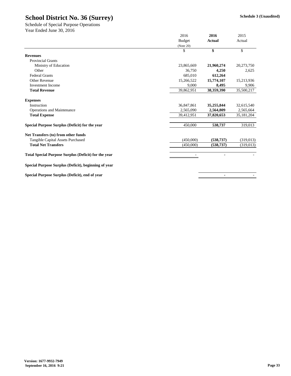|                                                             | 2016          | 2016           | 2015          |  |
|-------------------------------------------------------------|---------------|----------------|---------------|--|
|                                                             | <b>Budget</b> | <b>Actual</b>  | Actual        |  |
|                                                             | (Note 20)     |                |               |  |
|                                                             | \$            | \$             | $\mathcal{S}$ |  |
| <b>Revenues</b>                                             |               |                |               |  |
| <b>Provincial Grants</b>                                    |               |                |               |  |
| Ministry of Education                                       | 23,865,669    | 21,960,274     | 20,273,750    |  |
| Other                                                       | 36,750        | 4,250          | 2,625         |  |
| <b>Federal Grants</b>                                       | 685,010       | 612,264        |               |  |
| <b>Other Revenue</b>                                        | 15,266,522    | 15,774,107     | 15,213,936    |  |
| <b>Investment Income</b>                                    | 9,000         | 8,495          | 9,906         |  |
| <b>Total Revenue</b>                                        | 39,862,951    | 38,359,390     | 35,500,217    |  |
| <b>Expenses</b>                                             |               |                |               |  |
| Instruction                                                 | 36,847,861    | 35,255,844     | 32,615,540    |  |
| <b>Operations and Maintenance</b>                           | 2,565,090     | 2,564,809      | 2,565,664     |  |
| <b>Total Expense</b>                                        | 39,412,951    | 37,820,653     | 35, 181, 204  |  |
| Special Purpose Surplus (Deficit) for the year              | 450,000       | 538,737        | 319,013       |  |
| Net Transfers (to) from other funds                         |               |                |               |  |
| <b>Tangible Capital Assets Purchased</b>                    | (450,000)     | (538, 737)     | (319,013)     |  |
| <b>Total Net Transfers</b>                                  | (450,000)     | (538, 737)     | (319,013)     |  |
| <b>Total Special Purpose Surplus (Deficit) for the year</b> |               | $\blacksquare$ |               |  |
| Special Purpose Surplus (Deficit), beginning of year        |               |                |               |  |
| Special Purpose Surplus (Deficit), end of year              |               | $\blacksquare$ |               |  |

Year Ended June 30, 2016 Schedule of Special Purpose Operations

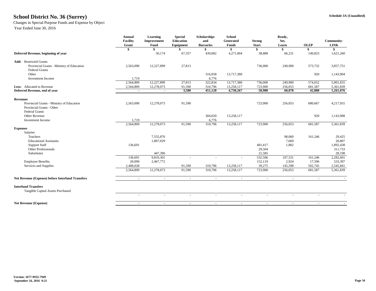## **Schedule 3A (Unaudited) School District No. 36 (Surrey)**

Changes in Special Purpose Funds and Expense by Object

|                                                                        | <b>Annual</b><br><b>Facility</b><br>Grant | <b>Learning</b><br>Improvement<br><b>Fund</b> | <b>Special</b><br>Education<br><b>Equipment</b> | <b>Scholarships</b><br>and<br><b>Bursaries</b> | <b>School</b><br>Generated<br><b>Funds</b> | <b>Strong</b><br><b>Start</b> | Ready,<br>Set,<br>Learn  | <b>OLEP</b> | <b>Community-</b><br><b>LINK</b> |
|------------------------------------------------------------------------|-------------------------------------------|-----------------------------------------------|-------------------------------------------------|------------------------------------------------|--------------------------------------------|-------------------------------|--------------------------|-------------|----------------------------------|
|                                                                        | \$                                        |                                               |                                                 |                                                | \$                                         | \$                            | \$                       | -SS         | \$                               |
| Deferred Revenue, beginning of year                                    |                                           | 50,174                                        | 67,357                                          | 439,082                                        | 4,271,004                                  | 38,888                        | 66,231                   | 149,823     | 1,621,260                        |
| <b>Add:</b> Restricted Grants                                          |                                           |                                               |                                                 |                                                |                                            |                               |                          |             |                                  |
| Provincial Grants - Ministry of Education<br><b>Federal Grants</b>     | 2,563,090                                 | 12,227,899                                    | 27,813                                          |                                                |                                            | 736,000                       | 249,900                  | 573,732     | 3,857,751                        |
| Other                                                                  |                                           |                                               |                                                 | 316,058                                        | 13,717,380                                 |                               |                          | 920         | 1,143,904                        |
| <b>Investment Income</b>                                               | 1,719                                     |                                               |                                                 | 6,776                                          |                                            |                               |                          |             |                                  |
|                                                                        | 2,564,809                                 | 12,227,899                                    | 27,813                                          | 322,834                                        | 13,717,380                                 | 736,000                       | 249,900                  | 574,652     | 5,001,655                        |
| Less: Allocated to Revenue                                             | 2,564,809                                 | 12,278,073                                    | 91,590                                          | 310,796                                        | 13,258,117                                 | 723,900                       | 256,053                  | 681,587     | 5,361,839                        |
| Deferred Revenue, end of year                                          | $\blacksquare$                            | $\sim$                                        | 3,580                                           | 451,120                                        | 4,730,267                                  | 50,988                        | 60,078                   | 42,888      | 1,261,076                        |
| <b>Revenues</b>                                                        |                                           |                                               |                                                 |                                                |                                            |                               |                          |             |                                  |
| Provincial Grants - Ministry of Education<br>Provincial Grants - Other | 2,563,090                                 | 12,278,073                                    | 91,590                                          |                                                |                                            | 723,900                       | 256,053                  | 680,667     | 4,217,931                        |
| <b>Federal Grants</b>                                                  |                                           |                                               |                                                 |                                                |                                            |                               |                          |             |                                  |
| <b>Other Revenue</b>                                                   |                                           |                                               |                                                 | 304,020                                        | 13,258,117                                 |                               |                          | 920         | 1,143,908                        |
| Investment Income                                                      | 1,719                                     |                                               |                                                 | 6,776                                          |                                            |                               |                          |             |                                  |
|                                                                        | 2,564,809                                 | 12,278,073                                    | 91,590                                          | 310,796                                        | 13,258,117                                 | 723,900                       | 256,053                  | 681,587     | 5,361,839                        |
| <b>Expenses</b>                                                        |                                           |                                               |                                                 |                                                |                                            |                               |                          |             |                                  |
| <b>Salaries</b>                                                        |                                           |                                               |                                                 |                                                |                                            |                               |                          |             |                                  |
| Teachers                                                               |                                           | 7,555,876                                     |                                                 |                                                |                                            |                               | 98,060                   | 161,246     | 29,425                           |
| <b>Educational Assistants</b>                                          |                                           | 1,807,029                                     |                                                 |                                                |                                            |                               | 7,669                    |             | 20,807                           |
| <b>Support Staff</b>                                                   | 136,691                                   |                                               |                                                 |                                                |                                            | 481,417                       | 1,802                    |             | 1,892,438                        |
| Other Professionals                                                    |                                           |                                               |                                                 |                                                |                                            | 29,504                        |                          |             | 311,733                          |
| Substitutes                                                            |                                           | 447,396                                       |                                                 |                                                |                                            | 21,585                        |                          |             | 28,198                           |
|                                                                        | 136,691                                   | 9,810,301                                     | $\overline{a}$                                  |                                                | $\overline{\phantom{a}}$                   | 532,506                       | 107,531                  | 161,246     | 2,282,601                        |
| <b>Employee Benefits</b>                                               | 20,090                                    | 2,467,772                                     |                                                 |                                                |                                            | 152,119                       | 2,924                    | 17,596      | 533,397                          |
| Services and Supplies                                                  | 2,408,028                                 |                                               | 91,590                                          | 310,796                                        | 13,258,117                                 | 39,275                        | 145,598                  | 502,745     | 2,545,841                        |
|                                                                        | 2,564,809                                 | 12,278,073                                    | 91,590                                          | 310,796                                        | 13,258,117                                 | 723,900                       | 256,053                  | 681,587     | 5,361,839                        |
| <b>Net Revenue (Expense) before Interfund Transfers</b>                |                                           | $\overline{\phantom{a}}$                      | $\overline{\phantom{a}}$                        | $\sim$                                         |                                            |                               | $\sim$                   |             |                                  |
| <b>Interfund Transfers</b>                                             |                                           |                                               |                                                 |                                                |                                            |                               |                          |             |                                  |
| Tangible Capital Assets Purchased                                      |                                           |                                               |                                                 |                                                |                                            |                               |                          |             |                                  |
|                                                                        | $\sim$                                    | $\overline{\phantom{a}}$                      | $\overline{\phantom{a}}$                        | $\overline{\phantom{a}}$                       | $\overline{\phantom{a}}$                   | $\sim$                        | $\overline{\phantom{a}}$ |             |                                  |
| <b>Net Revenue (Expense)</b>                                           | $\sim$                                    | $\sim$                                        | $\sim$                                          | $\sim$ 10 $\pm$                                | $\sim$                                     | $\sim$                        | $\sim$                   | $\sim$      |                                  |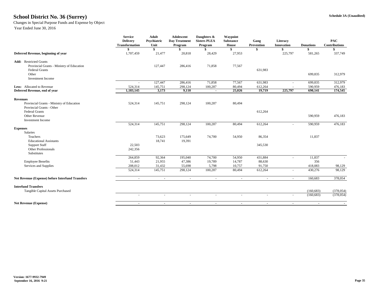## **Schedule 3A (Unaudited) School District No. 36 (Surrey)**

## Changes in Special Purpose Funds and Expense by Object

|                                                         | <b>Service</b><br><b>Adult</b><br><b>Adolescent</b><br>Psychiatric<br><b>Delivery</b><br><b>Day Treatment</b><br><b>Transformation</b><br>Unit<br>Program |                   |                   | Daughters &<br><b>Sisters PLEA</b><br>Program | Waypoint<br><b>Substance</b><br><b>House</b> | Gang<br><b>Prevention</b> |                          | <b>Donations</b>   | <b>PAC</b><br><b>Contributions</b> |
|---------------------------------------------------------|-----------------------------------------------------------------------------------------------------------------------------------------------------------|-------------------|-------------------|-----------------------------------------------|----------------------------------------------|---------------------------|--------------------------|--------------------|------------------------------------|
|                                                         |                                                                                                                                                           | \$                |                   |                                               |                                              | \$                        | <b>Innovation</b>        |                    |                                    |
| Deferred Revenue, beginning of year                     | 1,707,459                                                                                                                                                 | 21,477            | 20,818            | 28,429                                        | 27,953                                       |                           | 225,797                  | 581,265            | 337,749                            |
| <b>Add:</b> Restricted Grants                           |                                                                                                                                                           |                   |                   |                                               |                                              |                           |                          |                    |                                    |
| Provincial Grants - Ministry of Education               |                                                                                                                                                           | 127,447           | 286,416           | 71,858                                        | 77,567                                       |                           |                          |                    |                                    |
| <b>Federal Grants</b>                                   |                                                                                                                                                           |                   |                   |                                               |                                              | 631,983                   |                          |                    |                                    |
| Other<br><b>Investment Income</b>                       |                                                                                                                                                           |                   |                   |                                               |                                              |                           |                          | 699,835            | 312,979                            |
|                                                         | $\sim$                                                                                                                                                    | 127,447           | 286,416           | 71,858                                        | 77,567                                       | 631,983                   | $\sim$                   | 699,835            | 312,979                            |
| Less: Allocated to Revenue                              | 524,314                                                                                                                                                   | 145,751           | 298,124           | 100,287                                       | 80,494                                       | 612,264                   |                          | 590,959            | 476,183                            |
| Deferred Revenue, end of year                           | 1,183,145                                                                                                                                                 | 3,173             | 9,110             | $\sim$                                        | 25,026                                       | 19,719                    | 225,797                  | 690,141            | 174,545                            |
| <b>Revenues</b>                                         |                                                                                                                                                           |                   |                   |                                               |                                              |                           |                          |                    |                                    |
| Provincial Grants - Ministry of Education               | 524,314                                                                                                                                                   | 145,751           | 298,124           | 100,287                                       | 80,494                                       |                           |                          |                    |                                    |
| Provincial Grants - Other                               |                                                                                                                                                           |                   |                   |                                               |                                              |                           |                          |                    |                                    |
| <b>Federal Grants</b>                                   |                                                                                                                                                           |                   |                   |                                               |                                              | 612,264                   |                          |                    |                                    |
| Other Revenue                                           |                                                                                                                                                           |                   |                   |                                               |                                              |                           |                          | 590,959            | 476,183                            |
| <b>Investment Income</b>                                |                                                                                                                                                           |                   |                   |                                               |                                              |                           |                          |                    |                                    |
|                                                         | 524,314                                                                                                                                                   | 145,751           | 298,124           | 100,287                                       | 80,494                                       | 612,264                   | $\overline{\phantom{a}}$ | 590,959            | 476,183                            |
| <b>Expenses</b>                                         |                                                                                                                                                           |                   |                   |                                               |                                              |                           |                          |                    |                                    |
| Salaries                                                |                                                                                                                                                           |                   |                   |                                               |                                              |                           |                          |                    |                                    |
| Teachers                                                |                                                                                                                                                           | 73,623            | 175,649           | 74,700                                        | 54,950                                       | 86,354                    |                          | 11,837             |                                    |
| <b>Educational Assistants</b>                           |                                                                                                                                                           | 18,741            | 19,391            |                                               |                                              |                           |                          |                    |                                    |
| <b>Support Staff</b>                                    | 22,503                                                                                                                                                    |                   |                   |                                               |                                              | 345,530                   |                          |                    |                                    |
| <b>Other Professionals</b>                              | 242,356                                                                                                                                                   |                   |                   |                                               |                                              |                           |                          |                    |                                    |
| Substitutes                                             |                                                                                                                                                           |                   |                   |                                               |                                              |                           |                          |                    |                                    |
|                                                         | 264,859                                                                                                                                                   | 92,364            | 195,040           | 74,700                                        | 54,950                                       | 431,884                   | $\overline{\phantom{a}}$ | 11,837             |                                    |
| <b>Employee Benefits</b>                                | 51,443                                                                                                                                                    | 21,955            | 47,386            | 19,789                                        | 14,787                                       | 88,630                    |                          | 356                |                                    |
| Services and Supplies                                   | 208,012<br>524,314                                                                                                                                        | 31,432<br>145,751 | 55,698<br>298,124 | 5,798<br>100,287                              | 10,757<br>80,494                             | 91,750<br>612,264         | $\overline{\phantom{a}}$ | 418,083<br>430,276 | 98,129<br>98,129                   |
|                                                         |                                                                                                                                                           |                   |                   |                                               |                                              |                           |                          |                    |                                    |
| <b>Net Revenue (Expense) before Interfund Transfers</b> |                                                                                                                                                           |                   |                   | $\sim$                                        |                                              |                           | $\sim$                   | 160,683            | 378,054                            |
| <b>Interfund Transfers</b>                              |                                                                                                                                                           |                   |                   |                                               |                                              |                           |                          |                    |                                    |
| Tangible Capital Assets Purchased                       |                                                                                                                                                           |                   |                   |                                               |                                              |                           |                          | (160, 683)         | (378, 054)                         |
|                                                         |                                                                                                                                                           |                   |                   |                                               | $\overline{\phantom{a}}$                     |                           | $\sim$                   | (160, 683)         | (378, 054)                         |
| <b>Net Revenue (Expense)</b>                            |                                                                                                                                                           | $\sim$            |                   | $\sim$                                        | $\sim$                                       | $\blacksquare$            | $\blacksquare$           | $\sim$             |                                    |
|                                                         |                                                                                                                                                           |                   |                   |                                               |                                              |                           |                          |                    |                                    |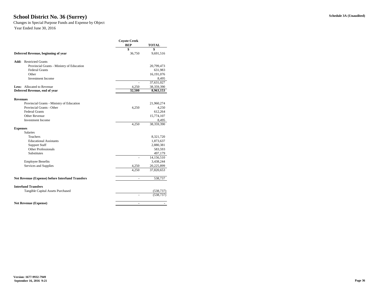## **Schedule 3A (Unaudited) School District No. 36 (Surrey)**

Changes in Special Purpose Funds and Expense by Object

|                                                         | <b>Coyote Creek</b><br><b>BEP</b> | <b>TOTAL</b> |  |  |
|---------------------------------------------------------|-----------------------------------|--------------|--|--|
|                                                         | \$                                | \$           |  |  |
| Deferred Revenue, beginning of year                     | 36,750                            | 9,691,516    |  |  |
| <b>Add:</b> Restricted Grants                           |                                   |              |  |  |
| Provincial Grants - Ministry of Education               |                                   | 20,799,473   |  |  |
| <b>Federal Grants</b>                                   |                                   | 631,983      |  |  |
| Other                                                   |                                   | 16,191,076   |  |  |
| <b>Investment Income</b>                                |                                   | 8,495        |  |  |
|                                                         |                                   | 37,631,027   |  |  |
| <b>Less:</b> Allocated to Revenue                       | 4,250                             | 38,359,390   |  |  |
| Deferred Revenue, end of year                           | 32,500                            | 8,963,153    |  |  |
| <b>Revenues</b>                                         |                                   |              |  |  |
| Provincial Grants - Ministry of Education               |                                   | 21,960,274   |  |  |
| <b>Provincial Grants - Other</b>                        | 4,250                             | 4,250        |  |  |
| <b>Federal Grants</b>                                   |                                   | 612,264      |  |  |
| <b>Other Revenue</b>                                    |                                   | 15,774,107   |  |  |
| <b>Investment Income</b>                                |                                   | 8,495        |  |  |
|                                                         | 4,250                             | 38,359,390   |  |  |
| <b>Expenses</b>                                         |                                   |              |  |  |
| Salaries                                                |                                   |              |  |  |
| Teachers                                                |                                   | 8,321,720    |  |  |
| <b>Educational Assistants</b>                           |                                   | 1,873,637    |  |  |
| <b>Support Staff</b>                                    |                                   | 2,880,381    |  |  |
| <b>Other Professionals</b>                              |                                   | 583,593      |  |  |
| Substitutes                                             |                                   | 497,179      |  |  |
|                                                         |                                   | 14,156,510   |  |  |
| <b>Employee Benefits</b>                                |                                   | 3,438,244    |  |  |
| Services and Supplies                                   | 4,250                             | 20,225,899   |  |  |
|                                                         | 4,250                             | 37,820,653   |  |  |
| <b>Net Revenue (Expense) before Interfund Transfers</b> |                                   | 538,737      |  |  |
| <b>Interfund Transfers</b>                              |                                   |              |  |  |
| Tangible Capital Assets Purchased                       |                                   | (538, 737)   |  |  |
|                                                         |                                   | (538, 737)   |  |  |
| <b>Net Revenue (Expense)</b>                            |                                   |              |  |  |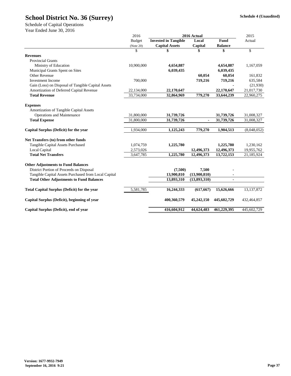|                                                      | 2016          |                             | 2016 Actual    |                | 2015         |
|------------------------------------------------------|---------------|-----------------------------|----------------|----------------|--------------|
|                                                      | <b>Budget</b> | <b>Invested in Tangible</b> | Local          | <b>Fund</b>    | Actual       |
|                                                      | (Note 20)     | <b>Capital Assets</b>       | Capital        | <b>Balance</b> |              |
|                                                      | \$            | \$                          | \$             | \$             | \$           |
| <b>Revenues</b>                                      |               |                             |                |                |              |
| <b>Provincial Grants</b>                             |               |                             |                |                |              |
| Ministry of Education                                | 10,900,000    | 4,654,887                   |                | 4,654,887      | 1,167,059    |
| Municipal Grants Spent on Sites                      |               | 6,039,435                   |                | 6,039,435      |              |
| <b>Other Revenue</b>                                 |               |                             | 60,054         | 60,054         | 161,832      |
| <b>Investment Income</b>                             | 700,000       |                             | 719,216        | 719,216        | 635,584      |
| Gain (Loss) on Disposal of Tangible Capital Assets   |               |                             |                |                | (21,930)     |
| Amortization of Deferred Capital Revenue             | 22,134,000    | 22,170,647                  |                | 22,170,647     | 21,017,730   |
| <b>Total Revenue</b>                                 | 33,734,000    | 32,864,969                  | 779,270        | 33,644,239     | 22,960,275   |
| <b>Expenses</b>                                      |               |                             |                |                |              |
| <b>Amortization of Tangible Capital Assets</b>       |               |                             |                |                |              |
| <b>Operations and Maintenance</b>                    | 31,800,000    | 31,739,726                  |                | 31,739,726     | 31,008,327   |
| <b>Total Expense</b>                                 | 31,800,000    | 31,739,726                  | $\blacksquare$ | 31,739,726     | 31,008,327   |
|                                                      |               |                             |                |                |              |
| Capital Surplus (Deficit) for the year               | 1,934,000     | 1,125,243                   | 779,270        | 1,904,513      | (8,048,052)  |
| Net Transfers (to) from other funds                  |               |                             |                |                |              |
| <b>Tangible Capital Assets Purchased</b>             | 1,074,759     | 1,225,780                   |                | 1,225,780      | 1,230,162    |
| Local Capital                                        | 2,573,026     |                             | 12,496,373     | 12,496,373     | 19,955,762   |
| <b>Total Net Transfers</b>                           | 3,647,785     | 1,225,780                   | 12,496,373     | 13,722,153     | 21,185,924   |
| <b>Other Adjustments to Fund Balances</b>            |               |                             |                |                |              |
| District Portion of Proceeds on Disposal             |               | (7,500)                     | 7,500          |                |              |
| Tangible Capital Assets Purchased from Local Capital |               | 13,900,810                  | (13,900,810)   |                |              |
| <b>Total Other Adjustments to Fund Balances</b>      |               | 13,893,310                  | (13,893,310)   | $\blacksquare$ |              |
|                                                      |               |                             |                |                |              |
| <b>Total Capital Surplus (Deficit) for the year</b>  | 5,581,785     | 16,244,333                  | (617, 667)     | 15,626,666     | 13, 137, 872 |
| Capital Surplus (Deficit), beginning of year         |               | 400,360,579                 | 45,242,150     | 445,602,729    | 432,464,857  |
| Capital Surplus (Deficit), end of year               |               | 416,604,912                 | 44,624,483     | 461,229,395    | 445,602,729  |
|                                                      |               |                             |                |                |              |

Schedule of Capital Operations

Year Ended June 30, 2016

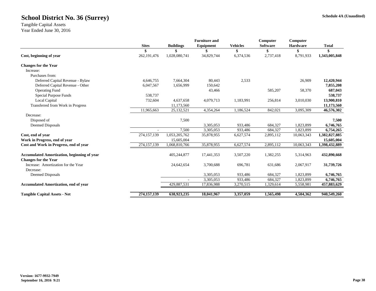#### **Schedule 4A (Unaudited)**

|                                                    |               |                  | <b>Furniture and</b> |                 | Computer        | Computer        |                    |
|----------------------------------------------------|---------------|------------------|----------------------|-----------------|-----------------|-----------------|--------------------|
|                                                    | <b>Sites</b>  | <b>Buildings</b> | Equipment            | <b>Vehicles</b> | <b>Software</b> | <b>Hardware</b> | <b>Total</b>       |
| Cost, beginning of year                            | 262, 191, 476 | 1,028,080,741    | 34,829,744           | 6,374,536       | \$<br>2,737,418 | \$<br>8,791,933 | S<br>1,343,005,848 |
| <b>Changes for the Year</b>                        |               |                  |                      |                 |                 |                 |                    |
| Increase:                                          |               |                  |                      |                 |                 |                 |                    |
| Purchases from:                                    |               |                  |                      |                 |                 |                 |                    |
| Deferred Capital Revenue - Bylaw                   | 4,646,755     | 7,664,304        | 80,443               | 2,533           |                 | 26,909          | 12,420,944         |
| Deferred Capital Revenue - Other                   | 6,047,567     | 1,656,999        | 150,642              |                 |                 |                 | 7,855,208          |
| <b>Operating Fund</b>                              |               |                  | 43,466               |                 | 585,207         | 58,370          | 687,043            |
| <b>Special Purpose Funds</b>                       | 538,737       |                  |                      |                 |                 |                 | 538,737            |
| <b>Local Capital</b>                               | 732,604       | 4,637,658        | 4,079,713            | 1,183,991       | 256,814         | 3,010,030       | 13,900,810         |
| <b>Transferred from Work in Progress</b>           |               | 11,173,560       |                      |                 |                 |                 | 11,173,560         |
|                                                    | 11,965,663    | 25,132,521       | 4,354,264            | 1,186,524       | 842,021         | 3,095,309       | 46,576,302         |
| Decrease:                                          |               |                  |                      |                 |                 |                 |                    |
| Disposed of                                        |               | 7,500            |                      |                 |                 |                 | 7,500              |
| <b>Deemed Disposals</b>                            |               |                  | 3,305,053            | 933,486         | 684,327         | 1,823,899       | 6,746,765          |
|                                                    |               | 7,500            | 3,305,053            | 933,486         | 684,327         | 1,823,899       | 6,754,265          |
| Cost, end of year                                  | 274,157,139   | 1,053,205,762    | 35,878,955           | 6,627,574       | 2,895,112       | 10,063,343      | 1,382,827,885      |
| Work in Progress, end of year                      |               | 15,605,004       |                      |                 |                 |                 | 15,605,004         |
| Cost and Work in Progress, end of year             | 274, 157, 139 | 1,068,810,766    | 35,878,955           | 6,627,574       | 2,895,112       | 10,063,343      | 1,398,432,889      |
| <b>Accumulated Amortization, beginning of year</b> |               | 405,244,877      | 17,441,353           | 3,507,220       | 1,382,255       | 5,314,963       | 432,890,668        |
| <b>Changes for the Year</b>                        |               |                  |                      |                 |                 |                 |                    |
| Increase: Amortization for the Year<br>Decrease:   |               | 24,642,654       | 3,700,688            | 696,781         | 631,686         | 2,067,917       | 31,739,726         |
| Deemed Disposals                                   |               |                  | 3,305,053            | 933,486         | 684,327         | 1,823,899       | 6,746,765          |
|                                                    |               |                  | 3,305,053            | 933,486         | 684,327         | 1,823,899       | 6,746,765          |
| <b>Accumulated Amortization, end of year</b>       |               | 429,887,531      | 17,836,988           | 3,270,515       | 1,329,614       | 5,558,981       | 457,883,629        |
|                                                    |               |                  |                      |                 |                 |                 |                    |
| <b>Tangible Capital Assets - Net</b>               | 274, 157, 139 | 638,923,235      | 18,041,967           | 3,357,059       | 1,565,498       | 4,504,362       | 940,549,260        |

Tangible Capital Assets Year Ended June 30, 2016

## **School District No. 36 (Surrey)**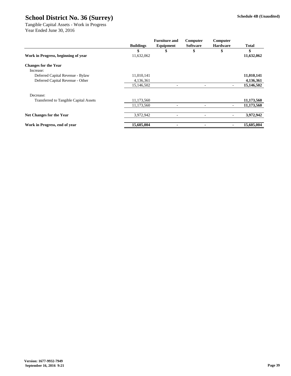|                                               | <b>Buildings</b> | <b>Furniture and</b><br>Equipment | Computer<br><b>Software</b> | Computer<br><b>Hardware</b> | <b>Total</b> |
|-----------------------------------------------|------------------|-----------------------------------|-----------------------------|-----------------------------|--------------|
|                                               | \$               | \$                                | \$                          | \$                          | \$           |
| Work in Progress, beginning of year           | 11,632,062       |                                   |                             |                             | 11,632,062   |
| <b>Changes for the Year</b>                   |                  |                                   |                             |                             |              |
| Increase:                                     |                  |                                   |                             |                             |              |
| Deferred Capital Revenue - Bylaw              | 11,010,141       |                                   |                             |                             | 11,010,141   |
| Deferred Capital Revenue - Other              | 4,136,361        |                                   |                             |                             | 4,136,361    |
|                                               | 15,146,502       |                                   |                             |                             | 15,146,502   |
| Decrease:                                     |                  |                                   |                             |                             |              |
| <b>Transferred to Tangible Capital Assets</b> | 11,173,560       |                                   |                             |                             | 11,173,560   |
|                                               | 11,173,560       | $\overline{\phantom{0}}$          |                             |                             | 11,173,560   |
| <b>Net Changes for the Year</b>               | 3,972,942        | $\overline{a}$                    |                             |                             | 3,972,942    |
| Work in Progress, end of year                 | 15,605,004       | $\blacksquare$                    | $\blacksquare$              |                             | 15,605,004   |

Tangible Capital Assets - Work in Progress Year Ended June 30, 2016

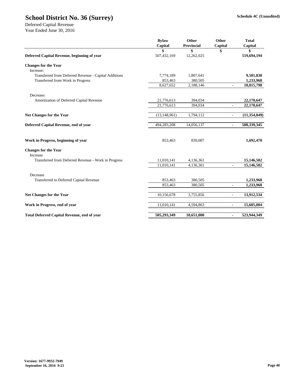**Schedule 4C (Unaudited)**

|                                                       | Capital        | <b>Provincial</b> | Capital                  | Capital        |
|-------------------------------------------------------|----------------|-------------------|--------------------------|----------------|
|                                                       |                | \$                | \$                       | \$             |
| Deferred Capital Revenue, beginning of year           | 507,432,169    | 12,262,025        |                          | 519,694,194    |
| <b>Changes for the Year</b>                           |                |                   |                          |                |
| Increase:                                             |                |                   |                          |                |
| Transferred from Deferred Revenue - Capital Additions | 7,774,189      | 1,807,641         |                          | 9,581,830      |
| <b>Transferred from Work in Progress</b>              | 853,463        | 380,505           |                          | 1,233,968      |
|                                                       | 8,627,652      | 2,188,146         | $\overline{\phantom{a}}$ | 10,815,798     |
| Decrease:                                             |                |                   |                          |                |
| Amortization of Deferred Capital Revenue              | 21,776,613     | 394,034           |                          | 22,170,647     |
|                                                       | 21,776,613     | 394,034           |                          | 22,170,647     |
| <b>Net Changes for the Year</b>                       | (13, 148, 961) | 1,794,112         | $\overline{\phantom{a}}$ | (11, 354, 849) |
| Deferred Capital Revenue, end of year                 | 494,283,208    | 14,056,137        |                          | 508,339,345    |
| Work in Progress, beginning of year                   | 853,463        | 839,007           |                          | 1,692,470      |
| <b>Changes for the Year</b><br>Increase               |                |                   |                          |                |
| Transferred from Deferred Revenue - Work in Progress  | 11,010,141     | 4,136,361         |                          | 15,146,502     |
|                                                       | 11,010,141     | 4,136,361         | $\overline{\phantom{a}}$ | 15,146,502     |
| Decrease                                              |                |                   |                          |                |
| <b>Transferred to Deferred Capital Revenue</b>        | 853,463        | 380,505           |                          | 1,233,968      |
|                                                       | 853,463        | 380,505           | $\overline{\phantom{a}}$ | 1,233,968      |
| <b>Net Changes for the Year</b>                       | 10,156,678     | 3,755,856         | $\overline{\phantom{a}}$ | 13,912,534     |
| Work in Progress, end of year                         | 11,010,141     | 4,594,863         | $\overline{\phantom{a}}$ | 15,605,004     |
| <b>Total Deferred Capital Revenue, end of year</b>    | 505,293,349    | 18,651,000        | $\blacksquare$           | 523,944,349    |

## **School District No. 36 (Surrey)**

Deferred Capital Revenue Year Ended June 30, 2016